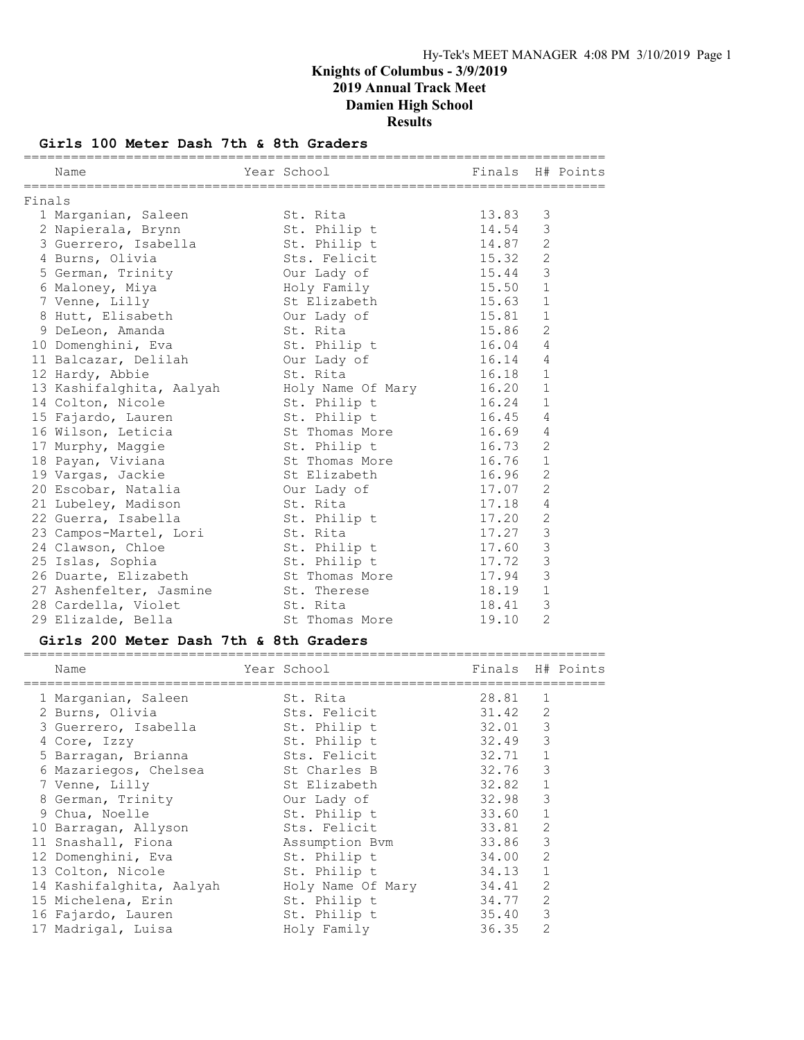#### Girls 100 Meter Dash 7th & 8th Graders

|        | Name                                               | Year School Night School Einals H# Points |           |                |  |
|--------|----------------------------------------------------|-------------------------------------------|-----------|----------------|--|
| Finals |                                                    |                                           |           |                |  |
|        | 1 Marganian, Saleen St. Rita                       |                                           | 13.83     | 3              |  |
|        | 2 Napierala, Brynn St. Philip t 14.54              |                                           |           | 3              |  |
|        | 3 Guerrero, Isabella but St. Philip t 14.87        |                                           |           | 2              |  |
|        | 4 Burns, Olivia                                    | Sts. Felicit                              | 15.32     | $\overline{2}$ |  |
|        | 5 German, Trinity our Lady of                      |                                           | 15.44     | 3              |  |
|        | 6 Maloney, Miya                                    | Holy Family 15.50 1                       |           |                |  |
|        | 7 Venne, Lilly                                     | St Elizabeth                              | $15.63$ 1 |                |  |
|        | 8 Hutt, Elisabeth Our Lady of                      |                                           | 15.81 1   |                |  |
|        | 9 DeLeon, Amanda                                   | St. Rita                                  | 15.86     | 2              |  |
|        | 10 Domenghini, Eva St. Philip t 16.04              |                                           |           | $\overline{4}$ |  |
|        | 11 Balcazar, Delilah     Our Lady of               |                                           | 16.14     | $\overline{4}$ |  |
|        | 12 Hardy, Abbie                                    | St. Rita                                  | 16.18     | $\mathbf{1}$   |  |
|        | 13 Kashifalghita, Aalyah Moly Name Of Mary 16.20 1 |                                           |           |                |  |
|        | 14 Colton, Nicole                                  | St. Philip t 16.24 1                      |           |                |  |
|        | 15 Fajardo, Lauren                                 | St. Philip t                              | $16.45$ 4 |                |  |
|        | 16 Wilson, Leticia and St Thomas More 16.69        |                                           |           | $\overline{4}$ |  |
|        | 17 Murphy, Maggie                                  | St. Philip t                              | 16.73     | 2              |  |
|        | 18 Payan, Viviana St Thomas More                   |                                           | 16.76     | $\mathbf{1}$   |  |
|        | 19 Vargas, Jackie                                  | St Elizabeth                              | 16.96     | 2              |  |
|        |                                                    |                                           |           | $\overline{2}$ |  |
|        | 21 Lubeley, Madison St. Rita                       |                                           | 17.18     | $\overline{4}$ |  |
|        | 22 Guerra, Isabella                                | St. Philip t                              | 17.20     | $\mathbf{2}$   |  |
|        | 23 Campos-Martel, Lori St. Rita                    |                                           | 17.27     | 3              |  |
|        | 24 Clawson, Chloe 5t. Philip t                     |                                           | 17.60     | 3              |  |
|        | 25 Islas, Sophia                                   |                                           | 17.72     | $\mathcal{S}$  |  |
|        | 26 Duarte, Elizabeth                               | St. Philip t<br>St Thomas More            | 17.94     | 3              |  |
|        | 27 Ashenfelter, Jasmine 5t. Therese 518.19         |                                           |           | $\mathbf{1}$   |  |
|        | 28 Cardella, Violet                                | St. Rita                                  | 18.41     | 3              |  |
|        | 29 Elizalde, Bella                                 | St Thomas More                            | 19.10     | 2              |  |

### Girls 200 Meter Dash 7th & 8th Graders

========================================================================== Name The Year School The Finals H# Points

| 1 Marganian, Saleen      | St. Rita          | 28.81                                                                                                                                                                           | 1            |
|--------------------------|-------------------|---------------------------------------------------------------------------------------------------------------------------------------------------------------------------------|--------------|
| 2 Burns, Olivia          |                   | 31.42                                                                                                                                                                           | 2            |
| 3 Guerrero, Isabella     | St. Philip t      | 32.01                                                                                                                                                                           | 3            |
| 4 Core, Izzy             |                   | 32.49                                                                                                                                                                           | 3            |
| 5 Barragan, Brianna      |                   | 32.71                                                                                                                                                                           | $\mathbf{1}$ |
|                          |                   | 32.76                                                                                                                                                                           | 3            |
| 7 Venne, Lilly           |                   | 32.82                                                                                                                                                                           | $\mathbf 1$  |
| 8 German, Trinity        |                   | 32.98                                                                                                                                                                           | 3            |
| 9 Chua, Noelle           | St. Philip t      | 33.60                                                                                                                                                                           | $\mathbf{1}$ |
| 10 Barragan, Allyson     |                   | 33.81                                                                                                                                                                           | 2            |
| 11 Snashall, Fiona       |                   | 33.86                                                                                                                                                                           | 3            |
| 12 Domenghini, Eva       | St. Philip t      | 34.00                                                                                                                                                                           | 2            |
| 13 Colton, Nicole        | St. Philip t      | 34.13                                                                                                                                                                           | $\mathbf{1}$ |
| 14 Kashifalghita, Aalyah | Holy Name Of Mary | 34.41                                                                                                                                                                           | 2            |
| 15 Michelena, Erin       | St. Philip t      | 34.77                                                                                                                                                                           | 2            |
| 16 Fajardo, Lauren       |                   | 35.40                                                                                                                                                                           | 3            |
| 17 Madrigal, Luisa       | Holy Family       | 36.35                                                                                                                                                                           | 2            |
|                          |                   | Sts. Felicit<br>St. Philip t<br>Sts. Felicit<br>6 Mazariegos, Chelsea buscher St Charles B<br>St Elizabeth (St<br>Our Lady of<br>Sts. Felicit<br>Assumption Bvm<br>St. Philip t |              |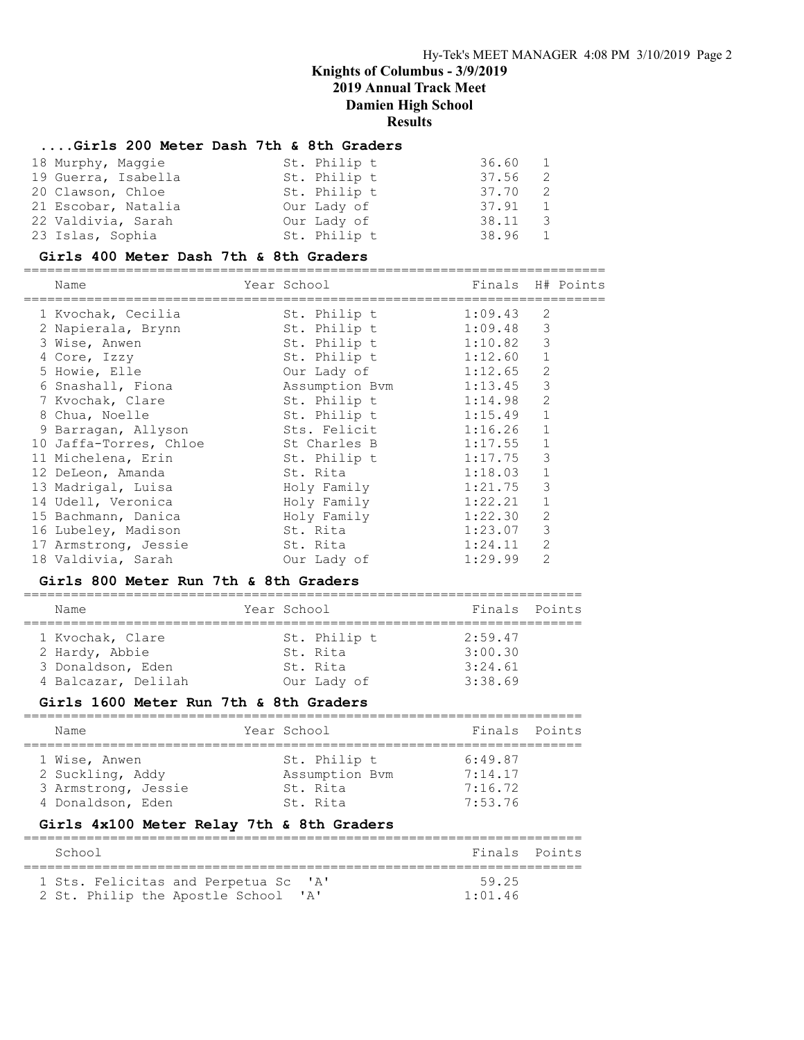### ....Girls 200 Meter Dash 7th & 8th Graders

| 18 Murphy, Maggie   | St. Philip t | 36.60 1 |                |
|---------------------|--------------|---------|----------------|
| 19 Guerra, Isabella | St. Philip t | 37.56   | $\overline{2}$ |
| 20 Clawson, Chloe   | St. Philip t | 37.70   | $\overline{2}$ |
| 21 Escobar, Natalia | Our Lady of  | 37.91   | $\blacksquare$ |
| 22 Valdivia, Sarah  | Our Lady of  | 38.11   | - 3            |
| 23 Islas, Sophia    | St. Philip t | 38.96 1 |                |

#### Girls 400 Meter Dash 7th & 8th Graders

==========================================================================

| Name                                                                                                                                                                                                                                                                                                                                                                                                                               | Year School                                                                                                                                                                                                                                                                                                  | Finals                                                                                                                                                                                             | H# Points                                                                                                                                                              |
|------------------------------------------------------------------------------------------------------------------------------------------------------------------------------------------------------------------------------------------------------------------------------------------------------------------------------------------------------------------------------------------------------------------------------------|--------------------------------------------------------------------------------------------------------------------------------------------------------------------------------------------------------------------------------------------------------------------------------------------------------------|----------------------------------------------------------------------------------------------------------------------------------------------------------------------------------------------------|------------------------------------------------------------------------------------------------------------------------------------------------------------------------|
| 1 Kvochak, Cecilia<br>2 Napierala, Brynn<br>3 Wise, Anwen<br>4 Core, Izzy<br>5 Howie, Elle<br>6 Snashall, Fiona<br>7 Kvochak, Clare<br>8 Chua, Noelle<br>9 Barragan, Allyson<br>10 Jaffa-Torres, Chloe<br>11 Michelena, Erin<br>12 DeLeon, Amanda<br>13 Madrigal, Luisa<br>14 Udell, Veronica<br>15 Bachmann, Danica<br>16 Lubeley, Madison<br>17 Armstrong, Jessie<br>18 Valdivia, Sarah<br>Girls 800 Meter Run 7th & 8th Graders | ===========================<br>St. Philip t<br>St. Philip t<br>St. Philip t<br>St. Philip t<br>Our Lady of<br>Assumption Bvm<br>St. Philip t<br>St. Philip t<br>Sts. Felicit<br>St Charles B<br>St. Philip t<br>St. Rita<br>Holy Family<br>Holy Family<br>Holy Family<br>St. Rita<br>St. Rita<br>Our Lady of | 1:09.43<br>1:09.48<br>1:10.82<br>1:12.60<br>1:12.65<br>1:13.45<br>1:14.98<br>1:15.49<br>1:16.26<br>1:17.55<br>1:17.75<br>1:18.03<br>1:21.75<br>1:22.21<br>1:22.30<br>1:23.07<br>1:24.11<br>1:29.99 | $\overline{2}$<br>3<br>3<br>$\mathbf 1$<br>$\overline{2}$<br>3<br>2<br>$\mathbf 1$<br>1<br>1<br>3<br>1<br>3<br>$\mathbf 1$<br>$\mathbf{2}$<br>3<br>2<br>$\overline{2}$ |
| Name                                                                                                                                                                                                                                                                                                                                                                                                                               | Year School                                                                                                                                                                                                                                                                                                  |                                                                                                                                                                                                    | Finals Points                                                                                                                                                          |
|                                                                                                                                                                                                                                                                                                                                                                                                                                    |                                                                                                                                                                                                                                                                                                              |                                                                                                                                                                                                    |                                                                                                                                                                        |
| 1 Kvochak, Clare<br>2 Hardy, Abbie<br>3 Donaldson, Eden<br>4 Balcazar, Delilah<br>Girls 1600 Meter Run 7th & 8th Graders                                                                                                                                                                                                                                                                                                           | St. Philip t<br>St. Rita<br>St. Rita<br>Our Lady of                                                                                                                                                                                                                                                          | 2:59.47<br>3:00.30<br>3:24.61<br>3:38.69                                                                                                                                                           |                                                                                                                                                                        |
| Name                                                                                                                                                                                                                                                                                                                                                                                                                               | Year School                                                                                                                                                                                                                                                                                                  | Finals                                                                                                                                                                                             | Points                                                                                                                                                                 |
| 1 Wise, Anwen<br>2 Suckling, Addy<br>3 Armstrong, Jessie<br>4 Donaldson, Eden<br>=========                                                                                                                                                                                                                                                                                                                                         | =============<br>St. Philip t<br>Assumption Bvm<br>St. Rita<br>St. Rita<br>Girls 4x100 Meter Relay 7th & 8th Graders                                                                                                                                                                                         | ============================<br>6:49.87<br>7:14.17<br>7:16.72<br>7:53.76                                                                                                                           |                                                                                                                                                                        |
| School<br>=====================================                                                                                                                                                                                                                                                                                                                                                                                    | =================================                                                                                                                                                                                                                                                                            | Finals                                                                                                                                                                                             | Points                                                                                                                                                                 |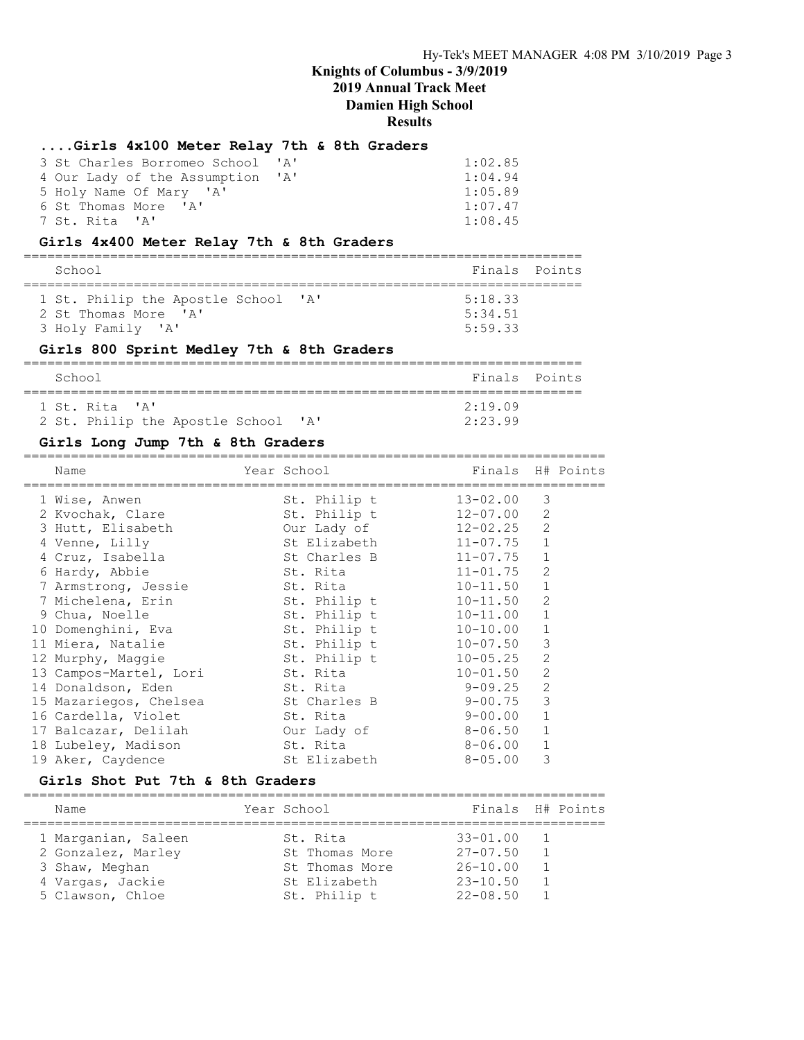### ....Girls 4x100 Meter Relay 7th & 8th Graders

| 3 St Charles Borromeo School 'A' | 1:02.85 |
|----------------------------------|---------|
| 4 Our Lady of the Assumption 'A' | 1:04.94 |
| 5 Holy Name Of Mary 'A'          | 1:05.89 |
| 6 St Thomas More 'A'             | 1:07.47 |
| 7 St. Rita 'A'                   | 1:08.45 |

### Girls 4x400 Meter Relay 7th & 8th Graders

| School                                                      | Finals Points      |  |
|-------------------------------------------------------------|--------------------|--|
| 1 St. Philip the Apostle School 'A'<br>2 St Thomas More 'A' | 5:18.33<br>5:34.51 |  |
| 3 Holy Family 'A'                                           | 5:59.33            |  |

### Girls 800 Sprint Medley 7th & 8th Graders

| School                              | Finals Points |  |
|-------------------------------------|---------------|--|
| 1 St. Rita 'A'                      | $2.19$ $09$   |  |
| 2 St. Philip the Apostle School 'A' | 2:23.99       |  |

#### Girls Long Jump 7th & 8th Graders

| Name                            | Year School Sandar | Finals H# Points |                |  |
|---------------------------------|--------------------|------------------|----------------|--|
| 1 Wise, Anwen                   | St. Philip t       | $13 - 02.00$     | 3              |  |
| 2 Kvochak, Clare                | St. Philip t       | $12 - 07.00$     | 2              |  |
| 3 Hutt, Elisabeth               | Our Lady of        | $12 - 02.25$     | 2              |  |
| 4 Venne, Lilly                  | St Elizabeth       | $11 - 07.75$     | $\mathbf 1$    |  |
| 4 Cruz, Isabella                | St Charles B       | 11-07.75         | 1              |  |
| 6 Hardy, Abbie                  | St. Rita           | $11 - 01.75$     | 2              |  |
| 7 Armstrong, Jessie             | St. Rita           | $10 - 11.50$     | $\mathbf 1$    |  |
| 7 Michelena, Erin               | St. Philip t       | $10 - 11.50$     | 2              |  |
| 9 Chua, Noelle                  | St. Philip t       | $10 - 11.00$     | $\mathbf{1}$   |  |
| 10 Domenghini, Eva              | St. Philip t       | $10 - 10.00$     | $\mathbf{1}$   |  |
| 11 Miera, Natalie               | St. Philip t       | $10 - 07.50$     | 3              |  |
| 12 Murphy, Maggie               | St. Philip t       | $10 - 05.25$     | 2              |  |
| 13 Campos-Martel, Lori St. Rita |                    | $10 - 01.50$     | 2              |  |
| 14 Donaldson, Eden              | St. Rita           | $9 - 09.25$      | $\overline{2}$ |  |
| 15 Mazariegos, Chelsea bushes B |                    | 9-00.75          | 3              |  |
| 16 Cardella, Violet             | St. Rita           | 9-00.00          | $\mathbf{1}$   |  |
| 17 Balcazar, Delilah            | Our Lady of        | 8-06.50          | $\mathbf{1}$   |  |
| 18 Lubeley, Madison             | St. Rita           | 8-06.00          | 1              |  |
| 19 Aker, Caydence               | St Elizabeth       | $8 - 05.00$      | 3              |  |

#### Girls Shot Put 7th & 8th Graders

| Name                | Year School     | Finals H# Points |                |  |
|---------------------|-----------------|------------------|----------------|--|
| 1 Marganian, Saleen | St. Rita        | $33 - 01.00$     | $\overline{1}$ |  |
| 2 Gonzalez, Marley  | St Thomas More  | $27 - 07.50$     |                |  |
| 3 Shaw, Meghan      | St. Thomas More | $26 - 10.00$     |                |  |
| 4 Vargas, Jackie    | St Elizabeth    | $23 - 10.50$     |                |  |
| 5 Clawson, Chloe    | St. Philip t    | $22 - 08.50$     |                |  |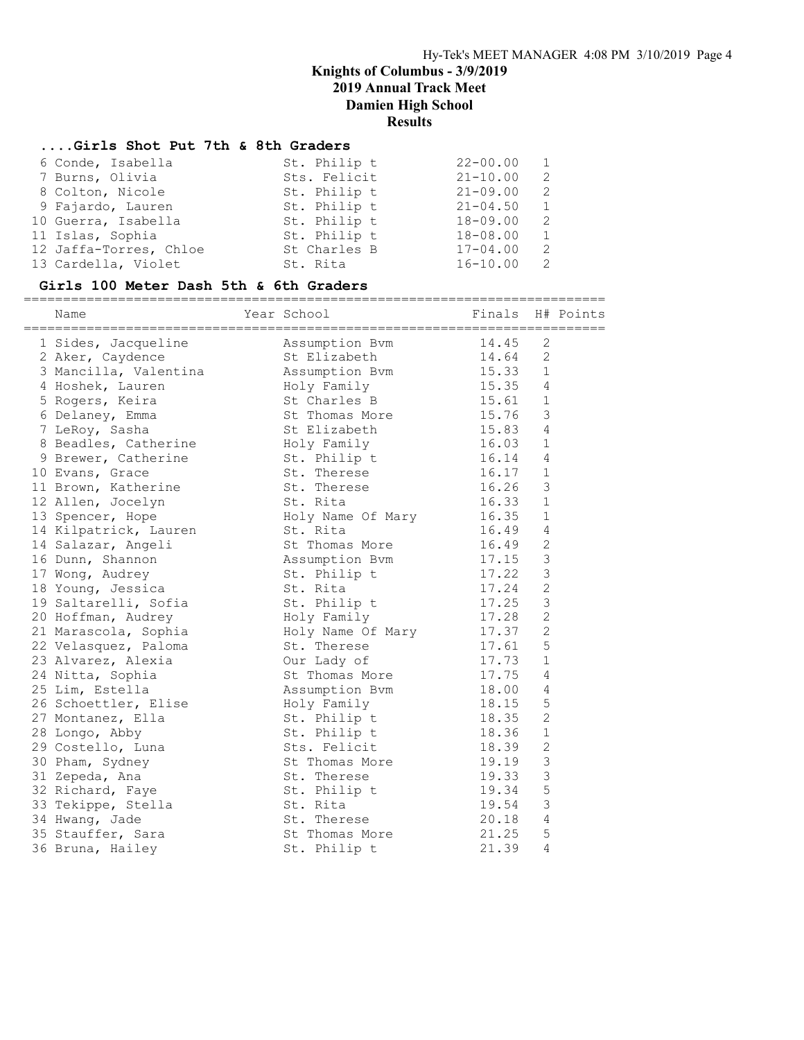#### ....Girls Shot Put 7th & 8th Graders

| 6 Conde, Isabella      | St. Philip t | $22 - 00.00$ |               |
|------------------------|--------------|--------------|---------------|
| 7 Burns, Olivia        | Sts. Felicit | $21 - 10.00$ | $\mathcal{L}$ |
| 8 Colton, Nicole       | St. Philip t | $21 - 09.00$ | -2            |
| 9 Fajardo, Lauren      | St. Philip t | $21 - 04.50$ | 1             |
| 10 Guerra, Isabella    | St. Philip t | $18 - 09.00$ | -2            |
| 11 Islas, Sophia       | St. Philip t | $18 - 08.00$ | 1             |
| 12 Jaffa-Torres, Chloe | St Charles B | $17 - 04.00$ | 2             |
| 13 Cardella, Violet    | St. Rita     | $16 - 10.00$ | 2             |

#### Girls 100 Meter Dash 5th & 6th Graders

========================================================================== Name Year School Finals H# Points ========================================================================== 1 Sides, Jacqueline Assumption Bvm 14.45 2 2 Aker, Caydence St Elizabeth 14.64 2 3 Mancilla, Valentina Assumption Bvm 15.33 1 4 Hoshek, Lauren Holy Family 15.35 4 5 Rogers, Keira St Charles B 15.61 1 6 Delaney, Emma St Thomas More 15.76 3 7 LeRoy, Sasha St Elizabeth 15.83 4 8 Beadles, Catherine Holy Family 16.03 1 9 Brewer, Catherine 5t. Philip t 16.14 4 10 Evans, Grace St. Therese 16.17 1 11 Brown, Katherine St. Therese 16.26 3 12 Allen, Jocelyn St. Rita 16.33 1 13 Spencer, Hope Holy Name Of Mary 16.35 1 14 Kilpatrick, Lauren St. Rita 16.49 4 14 Salazar, Angeli St Thomas More 16.49 2 16 Dunn, Shannon Assumption Bvm 17.15 3 17 Wong, Audrey St. Philip t 17.22 3 18 Young, Jessica St. Rita 17.24 2 19 Saltarelli, Sofia  $St.$  Philip t 17.25 3 20 Hoffman, Audrey Holy Family 17.28 2 21 Marascola, Sophia Holy Name Of Mary 17.37 2 22 Velasquez, Paloma St. Therese 17.61 5 23 Alvarez, Alexia Our Lady of 17.73 1 24 Nitta, Sophia and St Thomas More 317.75 4 25 Lim, Estella Assumption Bvm 18.00 4 26 Schoettler, Elise Holy Family 18.15 5 27 Montanez, Ella St. Philip t 18.35 2 28 Longo, Abby St. Philip t 18.36 1 29 Costello, Luna Sts. Felicit 18.39 2 30 Pham, Sydney St Thomas More 19.19 3 31 Zepeda, Ana St. Therese 19.33 3 32 Richard, Faye St. Philip t 19.34 5 33 Tekippe, Stella St. Rita 19.54 3 34 Hwang, Jade St. Therese 20.18 4 35 Stauffer, Sara St Thomas More 21.25 5 36 Bruna, Hailey St. Philip t 21.39 4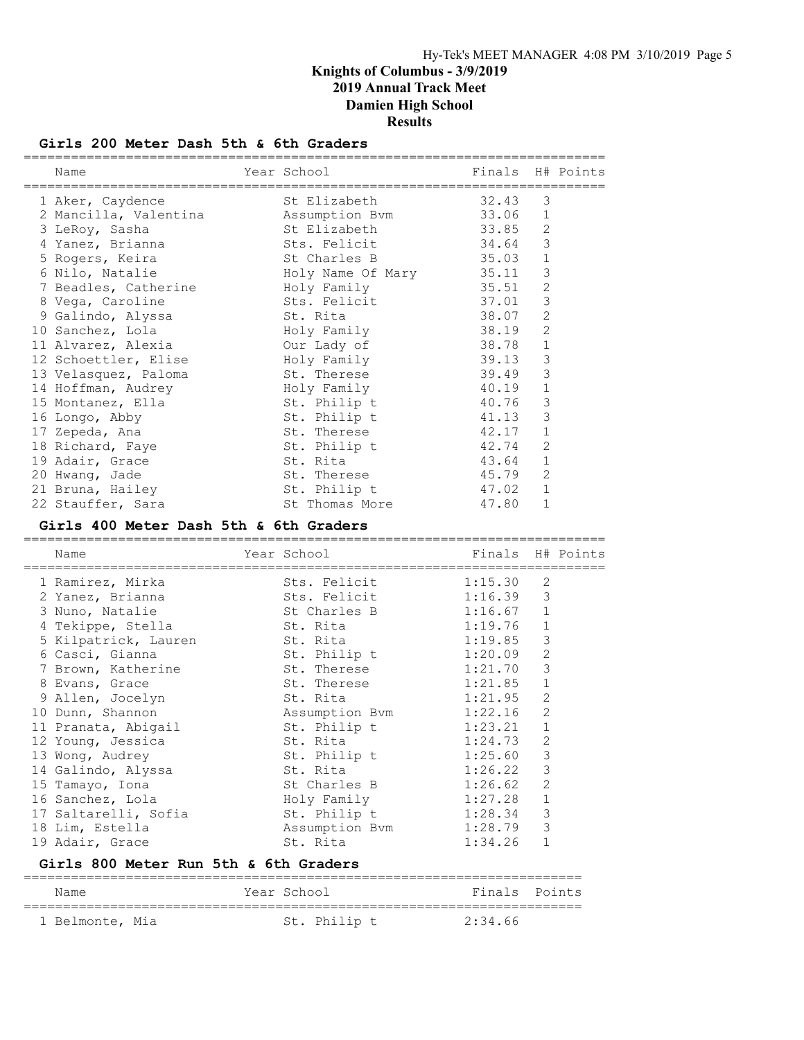#### Girls 200 Meter Dash 5th & 6th Graders

| Finals H# Points<br>Year School<br>Name                                      |  |
|------------------------------------------------------------------------------|--|
| St Elizabeth<br>32.43<br>3<br>1 Aker, Caydence                               |  |
| 2 Mancilla, Valentina Massumption Bvm<br>33.06<br>1                          |  |
| 2<br>St Elizabeth<br>33.85<br>3 LeRoy, Sasha                                 |  |
| 3<br>Sts. Felicit<br>34.64<br>4 Yanez, Brianna                               |  |
| $\mathbf{1}$<br>St Charles B<br>5 Rogers, Keira<br>35.03                     |  |
| $\mathcal{S}$<br>Holy Name Of Mary<br>6 Nilo, Natalie<br>35.11               |  |
| $\overline{c}$<br>7 Beadles, Catherine Holy Family<br>35.51                  |  |
| $\mathfrak{Z}$<br>Sts. Felicit<br>8 Vega, Caroline<br>37.01                  |  |
| $\overline{c}$<br>38.07<br>9 Galindo, Alyssa<br>St. Rita                     |  |
| $\overline{c}$<br>38.19<br>10 Sanchez, Lola<br>Holy Family                   |  |
| $\mathbf{1}$<br>11 Alvarez, Alexia<br>Our Lady of<br>38.78                   |  |
| 3<br>Holy Family<br>39.13<br>12 Schoettler, Elise                            |  |
| 3<br>39.49<br>13 Velasquez, Paloma<br>St. Therese                            |  |
| $\mathbf{1}$<br>40.19<br>14 Hoffman, Audrey<br>Holy Family                   |  |
| 3<br>St. Philip t<br>40.76<br>15 Montanez, Ella                              |  |
| $\mathfrak{Z}$<br>St. Philip t<br>41.13<br>16 Longo, Abby                    |  |
| $\mathbf{1}$<br>St. Therese<br>42.17<br>17 Zepeda, Ana                       |  |
| $\overline{c}$<br>St. Philip t<br>42.74<br>18 Richard, Faye                  |  |
| $\mathbf{1}$<br>19 Adair, Grace<br>St. Rita<br>43.64                         |  |
| 2<br>20 Hwang, Jade<br>St. Therese<br>45.79                                  |  |
| 47.02 1<br>21 Bruna, Hailey<br>St. Philip t                                  |  |
| 47.80 1<br>St Thomas More<br>22 Stauffer, Sara                               |  |
| Girls 400 Meter Dash 5th & 6th Graders<br>__________________________________ |  |
| Year School<br>Finals H# Points<br>Name                                      |  |
| 2<br>1 Ramirez, Mirka<br>Sts. Felicit<br>1:15.30                             |  |
| 3<br>Sts. Felicit 1:16.39<br>2 Yanez, Brianna                                |  |
| St Charles B 1:16.67 1<br>3 Nuno, Natalie                                    |  |
| $\mathbf{1}$<br>4 Tekippe, Stella<br>St. Rita<br>1:19.76                     |  |

 12 Young, Jessica St. Rita 1:24.73 2 13 Wong, Audrey St. Philip t 1:25.60 3 14 Galindo, Alyssa St. Rita 1:26.22 3 15 Tamayo, Iona St Charles B 1:26.62 2 16 Sanchez, Lola Holy Family 1:27.28 1 17 Saltarelli, Sofia St. Philip t 1:28.34 3 18 Lim, Estella Assumption Bvm 1:28.79 3 19 Adair, Grace St. Rita 1:34.26 1 Girls 800 Meter Run 5th & 6th Graders

 5 Kilpatrick, Lauren St. Rita 1:19.85 3 6 Casci, Gianna St. Philip t 1:20.09 2 7 Brown, Katherine 5t. Therese 1:21.70 3 8 Evans, Grace St. Therese 1:21.85 1 9 Allen, Jocelyn St. Rita 1:21.95 2 10 Dunn, Shannon Assumption Bvm 1:22.16 2 11 Pranata, Abigail St. Philip t 1:23.21 1

| Name            | Year School |              | Finals Points |  |
|-----------------|-------------|--------------|---------------|--|
| 1 Belmonte, Mia |             | St. Philip t | 2:34.66       |  |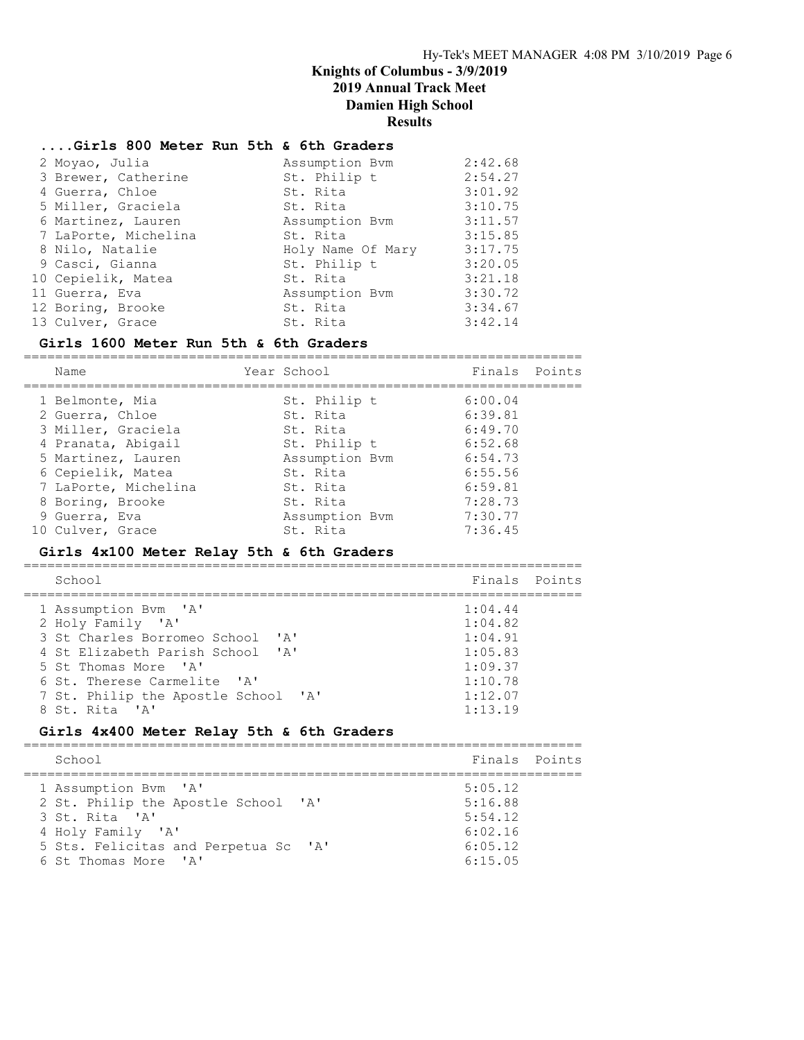#### ....Girls 800 Meter Run 5th & 6th Graders

| 2 Moyao, Julia       | Assumption Bym    | 2:42.68 |
|----------------------|-------------------|---------|
| 3 Brewer, Catherine  | St. Philip t      | 2:54.27 |
| 4 Guerra, Chloe      | St. Rita          | 3:01.92 |
| 5 Miller, Graciela   | St. Rita          | 3:10.75 |
| 6 Martinez, Lauren   | Assumption Bym    | 3:11.57 |
| 7 LaPorte, Michelina | St. Rita          | 3:15.85 |
| 8 Nilo, Natalie      | Holy Name Of Mary | 3:17.75 |
| 9 Casci, Gianna      | St. Philip t      | 3:20.05 |
| 10 Cepielik, Matea   | St. Rita          | 3:21.18 |
| 11 Guerra, Eva       | Assumption Bym    | 3:30.72 |
| 12 Boring, Brooke    | St. Rita          | 3:34.67 |
| 13 Culver, Grace     | St. Rita          | 3:42.14 |

#### Girls 1600 Meter Run 5th & 6th Graders

======================================================================= Name Year School Finals Points ======================================================================= 1 Belmonte, Mia and St. Philip t 6:00.04 2 Guerra, Chloe St. Rita 6:39.81 3 Miller, Graciela St. Rita 6:49.70 4 Pranata, Abigail 6:52.68 5 Martinez, Lauren  $\sim$  Assumption Bvm 6:54.73 6 Cepielik, Matea St. Rita 6:55.56 7 LaPorte, Michelina St. Rita 6:59.81 8 Boring, Brooke St. Rita 31:28.73 9 Guerra, Eva Assumption Bvm 7:30.77 10 Culver, Grace St. Rita 7:36.45

#### Girls 4x100 Meter Relay 5th & 6th Graders

======================================================================= School **Finals** Points **Points** ======================================================================= 1 Assumption Bvm 'A' 1:04.44 2 Holy Family 'A' 1:04.82<br>3 St Charles Borromeo School 'A' 1:04.91 3 St Charles Borromeo School 'A' 4 St Elizabeth Parish School 'A' 1:05.83<br>5 St Thomas More 'A' 1:09.37 5 St Thomas More 'A' 1:09.37<br>
6 St. Therese Carmelite 'A' 1:10.78 6 St. Therese Carmelite 'A' 7 St. Philip the Apostle School 'A' 1:12.07 8 St. Rita 'A' 1:13.19

#### Girls 4x400 Meter Relay 5th & 6th Graders

| School                                                                              |                                                                             | Finals Points                                                  |  |
|-------------------------------------------------------------------------------------|-----------------------------------------------------------------------------|----------------------------------------------------------------|--|
| 1 Assumption Bym 'A'<br>3 St. Rita 'A'<br>4 Holy Family 'A'<br>6 St Thomas More 'A' | 2 St. Philip the Apostle School 'A'<br>5 Sts. Felicitas and Perpetua Sc 'A' | 5:05.12<br>5:16.88<br>5:54.12<br>6:02.16<br>6:05.12<br>6:15.05 |  |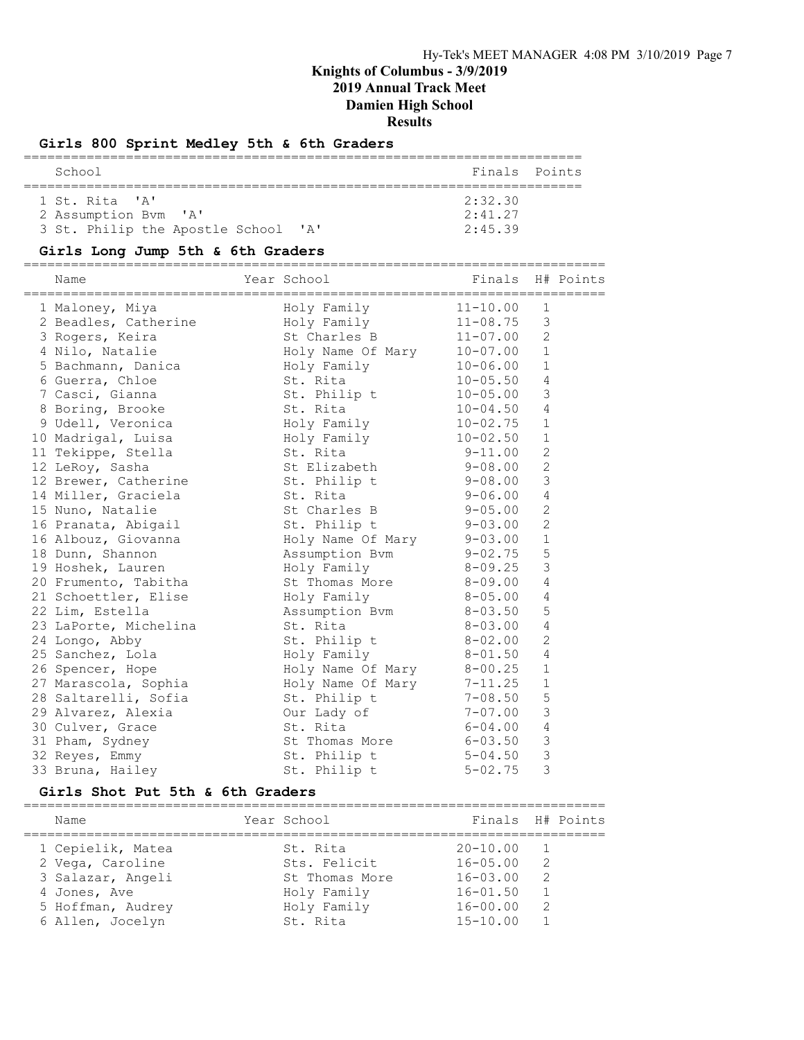### Girls 800 Sprint Medley 5th & 6th Graders

| School                              | Finals Points |  |
|-------------------------------------|---------------|--|
| 1 St. Rita 'A'                      | 2:32.30       |  |
| 2 Assumption Bym 'A'                | 2:41.27       |  |
| 3 St. Philip the Apostle School 'A' | 2:45.39       |  |

### Girls Long Jump 5th & 6th Graders

==========================================================================

| Name                  | Year School               | Finals       |                | H# Points |
|-----------------------|---------------------------|--------------|----------------|-----------|
| 1 Maloney, Miya       | Holy Family               | $11 - 10.00$ | $\mathbf{1}$   |           |
| 2 Beadles, Catherine  | Holy Family               | $11 - 08.75$ | 3              |           |
| 3 Rogers, Keira       | St Charles B              | $11 - 07.00$ | $\mathbf{2}$   |           |
| 4 Nilo, Natalie       | Holy Name Of Mary         | $10 - 07.00$ | $\mathbf{1}$   |           |
| 5 Bachmann, Danica    | Holy Family               | $10 - 06.00$ | $\mathbf{1}$   |           |
| 6 Guerra, Chloe       | St. Rita                  | $10 - 05.50$ | $\overline{4}$ |           |
| 7 Casci, Gianna       | St. Philip t              | $10 - 05.00$ | 3              |           |
| 8 Boring, Brooke      | St. Rita                  | $10 - 04.50$ | $\overline{4}$ |           |
| 9 Udell, Veronica     | Holy Family               | $10 - 02.75$ | $\mathbf{1}$   |           |
| 10 Madrigal, Luisa    | Holy Family               | $10 - 02.50$ | $\mathbf{1}$   |           |
| 11 Tekippe, Stella    | St. Rita                  | $9 - 11.00$  | 2              |           |
| 12 LeRoy, Sasha       | St Elizabeth              | $9 - 08.00$  | $\mathbf{2}$   |           |
| 12 Brewer, Catherine  | St. Philip t              | $9 - 08.00$  | $\mathsf 3$    |           |
| 14 Miller, Graciela   | St. Rita                  | $9 - 06.00$  | $\overline{4}$ |           |
| 15 Nuno, Natalie      | St Charles B              | $9 - 05.00$  | $\mathbf{2}$   |           |
| 16 Pranata, Abigail   | St. Philip t              | $9 - 03.00$  | $\overline{2}$ |           |
| 16 Albouz, Giovanna   | Holy Name Of Mary 9-03.00 |              | $1\,$          |           |
| 18 Dunn, Shannon      | Assumption Bvm 9-02.75    |              | 5              |           |
| 19 Hoshek, Lauren     | Holy Family               | 8-09.25      | $\mathcal{E}$  |           |
| 20 Frumento, Tabitha  | St Thomas More            | 8-09.00      | $\overline{4}$ |           |
| 21 Schoettler, Elise  | Holy Family               | $8 - 05.00$  | $\overline{4}$ |           |
| 22 Lim, Estella       | Assumption Bvm            | $8 - 03.50$  | 5              |           |
| 23 LaPorte, Michelina | St. Rita                  | $8 - 03.00$  | $\overline{4}$ |           |
| 24 Longo, Abby        | St. Philip t              | $8 - 02$ .00 | 2              |           |
| 25 Sanchez, Lola      | Holy Family               | $8 - 01.50$  | $\overline{4}$ |           |
| 26 Spencer, Hope      | Holy Name Of Mary         | $8 - 00.25$  | $1\,$          |           |
| 27 Marascola, Sophia  | Holy Name Of Mary         | $7 - 11.25$  | $1\,$          |           |
| 28 Saltarelli, Sofia  | St. Philip t              | $7 - 08.50$  | 5              |           |
| 29 Alvarez, Alexia    | Our Lady of               | $7 - 07.00$  | $\mathfrak{Z}$ |           |
| 30 Culver, Grace      | St. Rita                  | $6 - 04.00$  | $\overline{4}$ |           |
| 31 Pham, Sydney       | St Thomas More            | $6 - 03.50$  | $\mathcal{S}$  |           |
| 32 Reyes, Emmy        | St. Philip t              | $5 - 04.50$  | $\mathcal{S}$  |           |
| 33 Bruna, Hailey      | St. Philip t              | $5 - 02.75$  | 3              |           |

### Girls Shot Put 5th & 6th Graders

| Name              | Year School     | Finals H# Points |               |  |
|-------------------|-----------------|------------------|---------------|--|
| 1 Cepielik, Matea | St. Rita        | $20 - 10.00$     |               |  |
| 2 Vega, Caroline  | Sts. Felicit    | $16 - 05.00$     | $\mathcal{P}$ |  |
| 3 Salazar, Angeli | St. Thomas More | $16 - 03.00$     | $\mathcal{P}$ |  |
| 4 Jones, Ave      | Holy Family     | $16 - 01.50$     |               |  |
| 5 Hoffman, Audrey | Holy Family     | $16 - 00.00$     | $\mathcal{P}$ |  |
| 6 Allen, Jocelyn  | St. Rita        | $15 - 10.00$     |               |  |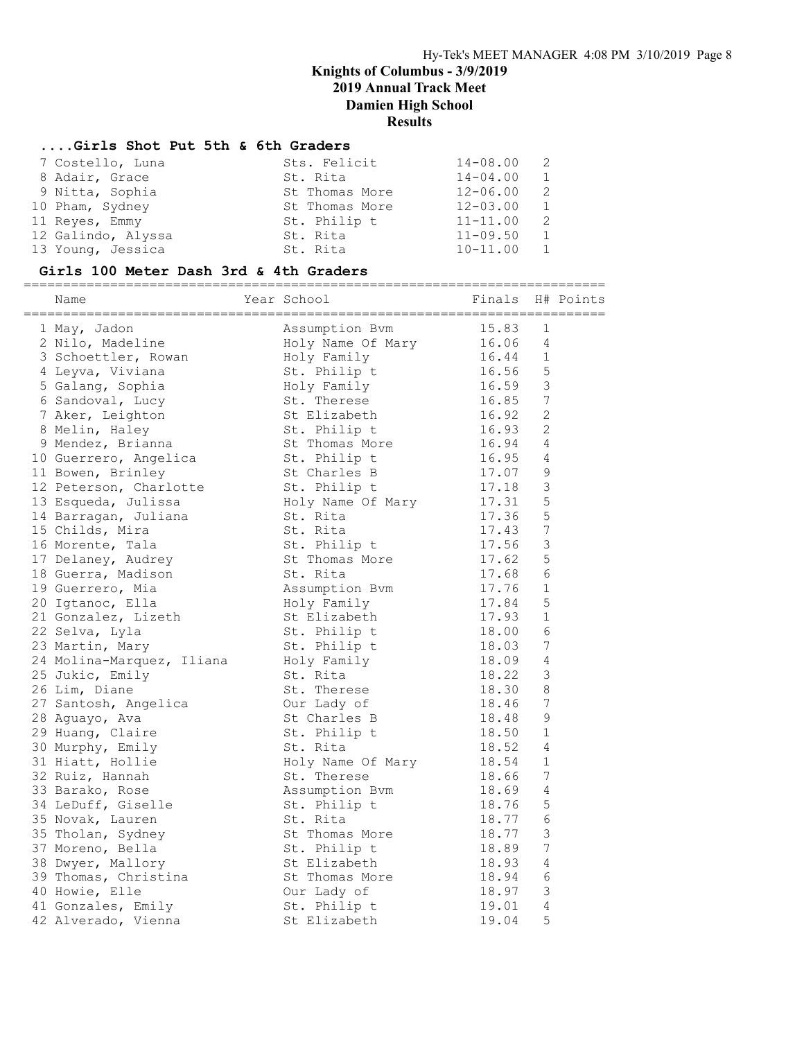#### ....Girls Shot Put 5th & 6th Graders

| 7 Costello, Luna   | Sts. Felicit   | $14 - 08.00$ | - 2 |
|--------------------|----------------|--------------|-----|
| 8 Adair, Grace     | St. Rita       | $14 - 04.00$ | 1   |
| 9 Nitta, Sophia    | St Thomas More | $12 - 06.00$ | - 2 |
| 10 Pham, Sydney    | St Thomas More | $12 - 03.00$ | 1   |
| 11 Reyes, Emmy     | St. Philip t   | $11 - 11.00$ | -2  |
| 12 Galindo, Alyssa | St. Rita       | $11 - 09.50$ | 1   |
| 13 Young, Jessica  | St. Rita       | $10 - 11.00$ | 1   |
|                    |                |              |     |

# Girls 100 Meter Dash 3rd & 4th Graders

========================================================================== Name Year School Finals H# Points ========================================================================== 1 May, Jadon Assumption Bvm 15.83 1 2 Nilo, Madeline Holy Name Of Mary 16.06 4 3 Schoettler, Rowan Holy Family 16.44 1 4 Leyva, Viviana St. Philip t 16.56 5 5 Galang, Sophia Holy Family 16.59 3 6 Sandoval, Lucy St. Therese 16.85 7 7 Aker, Leighton St Elizabeth 16.92 2 8 Melin, Haley St. Philip t 16.93 2 9 Mendez, Brianna St Thomas More 16.94 4 10 Guerrero, Angelica St. Philip t 16.95 4 11 Bowen, Brinley St Charles B 17.07 9 12 Peterson, Charlotte St. Philip t 17.18 3 13 Esqueda, Julissa Holy Name Of Mary 17.31 5 14 Barragan, Juliana St. Rita 17.36 5 15 Childs, Mira St. Rita 17.43 7 16 Morente, Tala  $St.$  Philip t 17.56 3 17 Delaney, Audrey **St Thomas More** 17.62 5 18 Guerra, Madison St. Rita 17.68 6 19 Guerrero, Mia Assumption Bvm 17.76 1 20 Igtanoc, Ella Holy Family 17.84 5 21 Gonzalez, Lizeth St Elizabeth 17.93 1 22 Selva, Lyla St. Philip t 18.00 6 23 Martin, Mary St. Philip t 18.03 7 24 Molina-Marquez, Iliana Holy Family 18.09 4 25 Jukic, Emily St. Rita 18.22 3 26 Lim, Diane St. Therese 18.30 8 27 Santosh, Angelica Our Lady of 18.46 7 28 Aguayo, Ava St Charles B 18.48 9 29 Huang, Claire St. Philip t 18.50 1 30 Murphy, Emily St. Rita 18.52 4 31 Hiatt, Hollie Holy Name Of Mary 18.54 1 32 Ruiz, Hannah St. Therese 18.66 7 33 Barako, Rose **Assumption Bvm** 18.69 4 34 LeDuff, Giselle St. Philip t 18.76 5 35 Novak, Lauren St. Rita 18.77 6 35 Tholan, Sydney St Thomas More 18.77 3 37 Moreno, Bella St. Philip t 18.89 7 38 Dwyer, Mallory St Elizabeth 18.93 4 39 Thomas, Christina St Thomas More 18.94 6 40 Howie, Elle Our Lady of 18.97 3 41 Gonzales, Emily St. Philip t 19.01 4 42 Alverado, Vienna St Elizabeth 19.04 5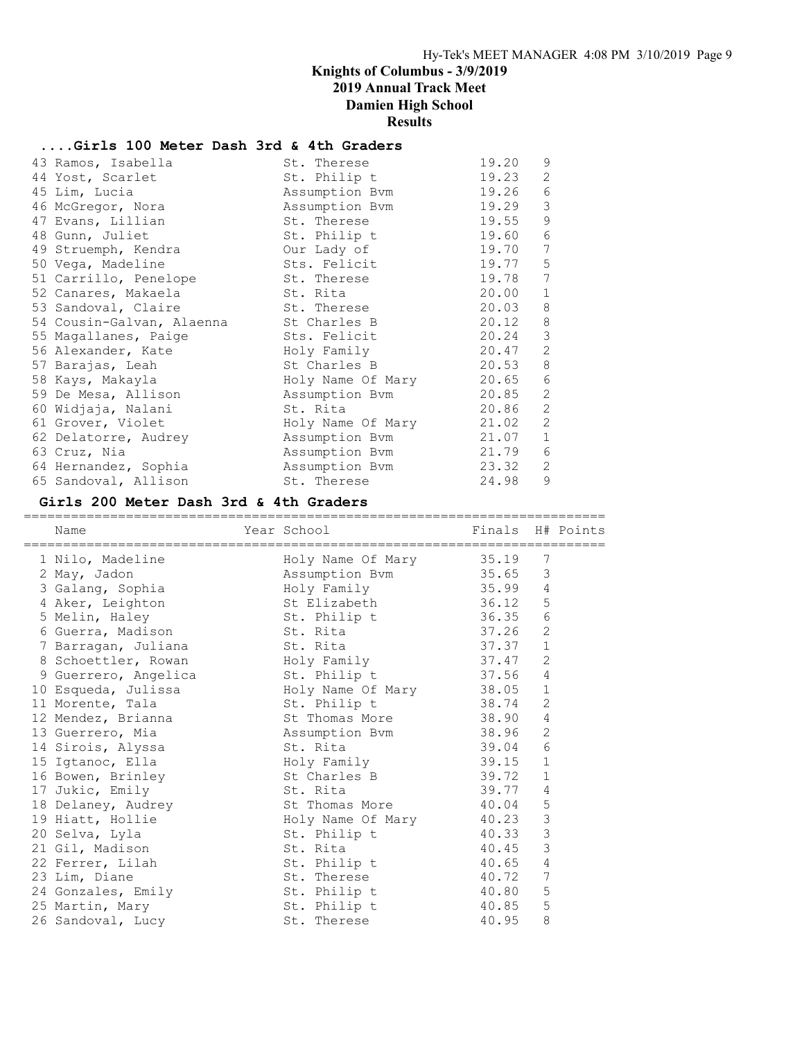### ....Girls 100 Meter Dash 3rd & 4th Graders

| 43 Ramos, Isabella        | St. Therese       | 19.20 | 9            |
|---------------------------|-------------------|-------|--------------|
| 44 Yost, Scarlet          | St. Philip t      | 19.23 | 2            |
| 45 Lim, Lucia             | Assumption Bvm    | 19.26 | 6            |
| 46 McGregor, Nora         | Assumption Bvm    | 19.29 | 3            |
| 47 Evans, Lillian         | St. Therese       | 19.55 | $\mathsf 9$  |
| 48 Gunn, Juliet           | St. Philip t      | 19.60 | 6            |
| 49 Struemph, Kendra       | Our Lady of       | 19.70 | 7            |
| 50 Vega, Madeline         | Sts. Felicit      | 19.77 | 5            |
| 51 Carrillo, Penelope     | St. Therese       | 19.78 | 7            |
| 52 Canares, Makaela       | St. Rita          | 20.00 | $\mathbf{1}$ |
| 53 Sandoval, Claire       | St. Therese       | 20.03 | 8            |
| 54 Cousin-Galvan, Alaenna | St Charles B      | 20.12 | $\,8\,$      |
| 55 Magallanes, Paige      | Sts. Felicit      | 20.24 | 3            |
| 56 Alexander, Kate        | Holy Family       | 20.47 | $\mathbf{2}$ |
| 57 Barajas, Leah          | St Charles B      | 20.53 | 8            |
| 58 Kays, Makayla          | Holy Name Of Mary | 20.65 | $\epsilon$   |
| 59 De Mesa, Allison       | Assumption Bym    | 20.85 | 2            |
| 60 Widjaja, Nalani        | St. Rita          | 20.86 | 2            |
| 61 Grover, Violet         | Holy Name Of Mary | 21.02 | 2            |
| 62 Delatorre, Audrey      | Assumption Bym    | 21.07 | $\mathbf 1$  |
| 63 Cruz, Nia              | Assumption Bvm    | 21.79 | 6            |
| 64 Hernandez, Sophia      | Assumption Bvm    | 23.32 | 2            |
| 65 Sandoval, Allison      | St. Therese       | 24.98 | 9            |

### Girls 200 Meter Dash 3rd & 4th Graders

| Name                                          | Finals H# Points<br>Year School Near School |           |                |  |
|-----------------------------------------------|---------------------------------------------|-----------|----------------|--|
| 1 Nilo, Madeline Holy Name Of Mary 35.19      |                                             |           | 7              |  |
| 2 May, Jadon                                  | Assumption Bvm 35.65 3                      |           |                |  |
| 3 Galang, Sophia and Holy Family 35.99 4      |                                             |           |                |  |
| 4 Aker, Leighton                              | St Elizabeth 36.12 5                        |           |                |  |
| 5 Melin, Haley                                | St. Philip t 36.35 6                        |           |                |  |
| 6 Guerra, Madison St. Rita                    |                                             | $37.26$ 2 |                |  |
| 7 Barragan, Juliana (St. Rita                 |                                             | 37.37 1   |                |  |
| 8 Schoettler, Rowan Moly Family 37.47 2       |                                             |           |                |  |
| 9 Guerrero, Angelica and St. Philip t 37.56 4 |                                             |           |                |  |
| 10 Esqueda, Julissa Moly Name Of Mary 38.05 1 |                                             |           |                |  |
| 11 Morente, Tala                              | St. Philip t<br>38.74                       |           | 2              |  |
| 12 Mendez, Brianna and St Thomas More 38.90   |                                             |           | $\overline{4}$ |  |
| 13 Guerrero, Mia                              | Assumption Bvm 38.96                        |           | 2              |  |
| 14 Sirois, Alyssa                             | St. Rita                                    | 39.04     | 6              |  |
| 15 Igtanoc, Ella                              | Holy Family 39.15 1                         |           |                |  |
| 16 Bowen, Brinley                             | St Charles B 39.72                          |           | 1              |  |
| 17 Jukic, Emily                               | St. Rita                                    | 39.77     | 4              |  |
| 18 Delaney, Audrey St Thomas More 40.04       |                                             |           | 5              |  |
| 19 Hiatt, Hollie                              | Holy Name Of Mary 40.23                     |           | $\mathsf 3$    |  |
| 20 Selva, Lyla                                | St. Philip t 40.33                          |           | $\mathcal{S}$  |  |
| 21 Gil, Madison                               | St. Rita                                    | 40.45     | $\mathsf 3$    |  |
| 22 Ferrer, Lilah                              | St. Philip t 40.65                          |           | $\overline{4}$ |  |
| 23 Lim, Diane                                 | St. Therese                                 | 40.72 7   |                |  |
| 24 Gonzales, Emily St. Philip t 40.80         |                                             |           | 5              |  |
| 25 Martin, Mary                               | St. Philip t 40.85                          |           | 5              |  |
| 26 Sandoval, Lucy                             | St. Therese                                 | 40.95     | 8              |  |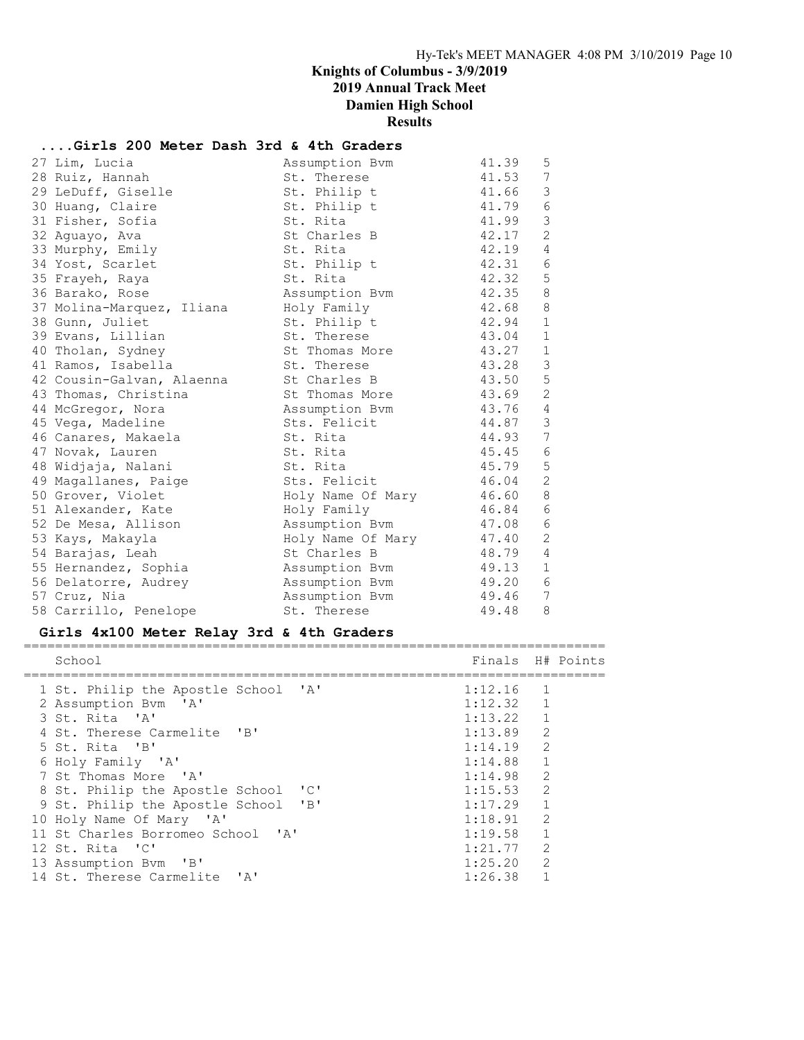# ....Girls 200 Meter Dash 3rd & 4th Graders

| 27 Lim, Lucia             | Assumption Bym         | 41.39   | 5              |
|---------------------------|------------------------|---------|----------------|
| 28 Ruiz, Hannah           | St. Therese            | 41.53 7 |                |
| 29 LeDuff, Giselle        | St. Philip t           | 41.66   | $\mathfrak{Z}$ |
| 30 Huang, Claire          | St. Philip t           | 41.79 6 |                |
| 31 Fisher, Sofia          | St. Rita               | 41.99   | $\mathfrak{Z}$ |
| 32 Aguayo, Ava            | St Charles B           | 42.17   | $\overline{2}$ |
| 33 Murphy, Emily          | St. Rita               | 42.19   | $\overline{4}$ |
| 34 Yost, Scarlet          | St. Philip t           | 42.31 6 |                |
| 35 Frayeh, Raya           | St. Rita               | 42.32   | $\mathsf 5$    |
| 36 Barako, Rose           | Assumption Bvm         | 42.35 8 |                |
| 37 Molina-Marquez, Iliana | Holy Family            | 42.68   | 8              |
| 38 Gunn, Juliet           | St. Philip t           | 42.94   | $\mathbf{1}$   |
| 39 Evans, Lillian         | St. Therese            | 43.04   | $\mathbf{1}$   |
| 40 Tholan, Sydney         | St Thomas More         | 43.27   | $\mathbf{1}$   |
| 41 Ramos, Isabella        | St. Therese            | 43.28   | $\mathcal{S}$  |
| 42 Cousin-Galvan, Alaenna | St Charles B           | 43.50   | 5              |
| 43 Thomas, Christina      | St Thomas More         | 43.69   | 2              |
| 44 McGregor, Nora         | Assumption Bym         | 43.76 4 |                |
| 45 Vega, Madeline         | Sts. Felicit           | 44.87   | $\mathcal{S}$  |
| 46 Canares, Makaela       | St. Rita               | 44.93 7 |                |
| 47 Novak, Lauren          | St. Rita               | 45.45 6 |                |
| 48 Widjaja, Nalani        | St. Rita               | 45.79   | $\overline{5}$ |
| 49 Magallanes, Paige      | Sts. Felicit           | 46.04   | $\overline{c}$ |
| 50 Grover, Violet         | Holy Name Of Mary      | 46.60   | $8\,$          |
| 51 Alexander, Kate        | Holy Family            | 46.84 6 |                |
| 52 De Mesa, Allison       | Assumption Bvm         | 47.08   | $\sqrt{6}$     |
| 53 Kays, Makayla          | Holy Name Of Mary      | 47.40   | $\mathbf{2}$   |
| 54 Barajas, Leah          | St Charles B           | 48.79   | $\overline{4}$ |
| 55 Hernandez, Sophia      | Assumption Bvm         | 49.13   | $\mathbf{1}$   |
| 56 Delatorre, Audrey      | Assumption Bvm         | 49.20 6 |                |
| 57 Cruz, Nia              | Assumption Bvm 49.46 7 |         |                |
| 58 Carrillo, Penelope     | St. Therese            | 49.48   | 8              |

#### Girls 4x100 Meter Relay 3rd & 4th Graders

| School                              | Finals H# Points |                |  |
|-------------------------------------|------------------|----------------|--|
| 1 St. Philip the Apostle School 'A' | 1:12.16          | $\overline{1}$ |  |
| 2 Assumption Bym 'A'                | 1:12.32 1        |                |  |
| 3 St. Rita 'A'                      | $1:13.22$ 1      |                |  |
| 4 St. Therese Carmelite 'B'         | $1:13.89$ 2      |                |  |
| 5 St. Rita 'B'                      | 1:14.19          | 2              |  |
| 6 Holy Family 'A'                   | 1:14.88          | $\overline{1}$ |  |
| 7 St Thomas More 'A'                | 1:14.98          | $\mathcal{L}$  |  |
| 8 St. Philip the Apostle School 'C' | 1:15.53          | 2              |  |
| 9 St. Philip the Apostle School 'B' | $1:17.29$ 1      |                |  |
| 10 Holy Name Of Mary 'A'            | 1:18.91          | $\mathcal{L}$  |  |
| 11 St Charles Borromeo School 'A'   | 1:19.58          | $\mathbf{1}$   |  |
| 12 St. Rita 'C'                     | 1:21.77          | 2              |  |
| 13 Assumption Bym 'B'               | 1:25.20          | $\mathcal{L}$  |  |
| 14 St. Therese Carmelite 'A'        | 1:26.38          |                |  |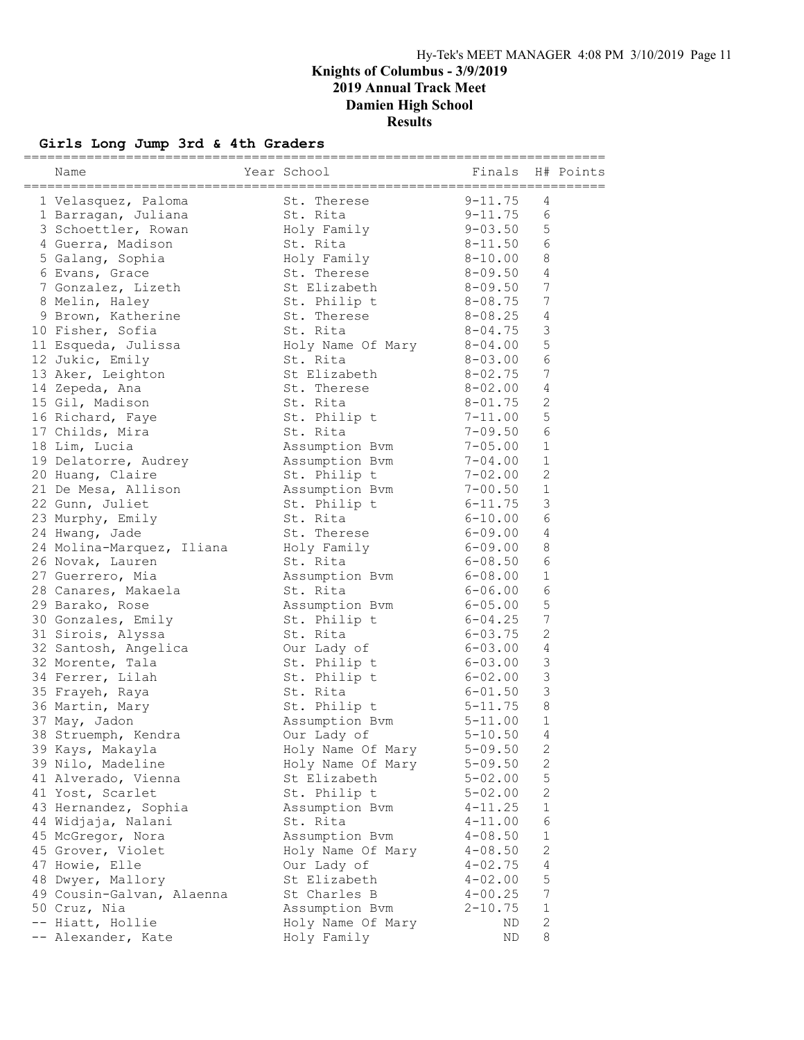# Girls Long Jump 3rd & 4th Graders

| Name                      | Year School                           | Finals      |                | H# Points |
|---------------------------|---------------------------------------|-------------|----------------|-----------|
|                           | _____________________________________ |             |                |           |
| 1 Velasquez, Paloma       | St. Therese                           | $9 - 11.75$ | 4              |           |
| 1 Barragan, Juliana       | St. Rita                              | $9 - 11.75$ | 6              |           |
| 3 Schoettler, Rowan       | Holy Family                           | $9 - 03.50$ | 5              |           |
| 4 Guerra, Madison         | St. Rita                              | $8 - 11.50$ | 6              |           |
| 5 Galang, Sophia          | Holy Family                           | $8 - 10.00$ | 8              |           |
| 6 Evans, Grace            | St. Therese                           | $8 - 09.50$ | 4              |           |
| 7 Gonzalez, Lizeth        | St Elizabeth                          | $8 - 09.50$ | 7              |           |
| 8 Melin, Haley            | St. Philip t                          | $8 - 08.75$ | 7              |           |
| 9 Brown, Katherine        | St. Therese                           | $8 - 08.25$ | 4              |           |
| 10 Fisher, Sofia          | St. Rita                              | $8 - 04.75$ | 3              |           |
| 11 Esqueda, Julissa       | Holy Name Of Mary                     | $8 - 04.00$ | $\mathsf S$    |           |
| 12 Jukic, Emily           | St. Rita                              | $8 - 03.00$ | 6              |           |
| 13 Aker, Leighton         | St Elizabeth                          | $8 - 02.75$ | 7              |           |
| 14 Zepeda, Ana            | St. Therese                           | $8 - 02.00$ | $\sqrt{4}$     |           |
| 15 Gil, Madison           | St. Rita                              | $8 - 01.75$ | $\overline{c}$ |           |
| 16 Richard, Faye          | St. Philip t                          | $7 - 11.00$ | 5              |           |
| 17 Childs, Mira           | St. Rita                              | $7 - 09.50$ | 6              |           |
| 18 Lim, Lucia             | Assumption Bvm                        | $7 - 05.00$ | 1              |           |
| 19 Delatorre, Audrey      | Assumption Bvm                        | $7 - 04.00$ | $\mathbf{1}$   |           |
| 20 Huang, Claire          | St. Philip t                          | $7 - 02.00$ | $\overline{2}$ |           |
| 21 De Mesa, Allison       | Assumption Bvm                        | $7 - 00.50$ | $\mathbf 1$    |           |
| 22 Gunn, Juliet           | St. Philip t                          | $6 - 11.75$ | 3              |           |
| 23 Murphy, Emily          | St. Rita                              | $6 - 10.00$ | 6              |           |
| 24 Hwang, Jade            | St. Therese                           | $6 - 09.00$ | 4              |           |
| 24 Molina-Marquez, Iliana | Holy Family                           | $6 - 09.00$ | 8              |           |
| 26 Novak, Lauren          | St. Rita                              | $6 - 08.50$ | 6              |           |
| 27 Guerrero, Mia          | Assumption Bvm                        | $6 - 08.00$ | $\mathbf 1$    |           |
| 28 Canares, Makaela       | St. Rita                              | $6 - 06.00$ | 6              |           |
| 29 Barako, Rose           | Assumption Bvm                        | $6 - 05.00$ | 5              |           |
| 30 Gonzales, Emily        | St. Philip t                          | $6 - 04.25$ | 7              |           |
| 31 Sirois, Alyssa         | St. Rita                              | $6 - 03.75$ | $\overline{c}$ |           |
| 32 Santosh, Angelica      | Our Lady of                           | $6 - 03.00$ | $\overline{4}$ |           |
| 32 Morente, Tala          | St. Philip t                          | $6 - 03.00$ | 3              |           |
| 34 Ferrer, Lilah          | St. Philip t                          | $6 - 02.00$ | $\mathsf 3$    |           |
| 35 Frayeh, Raya           | St. Rita                              | $6 - 01.50$ | 3              |           |
| 36 Martin, Mary           | St. Philip t                          | $5 - 11.75$ | 8              |           |
| 37 May, Jadon             | Assumption Bvm                        | $5 - 11.00$ | $\mathbf 1$    |           |
| 38 Struemph, Kendra       | Our Lady of                           | $5 - 10.50$ | 4              |           |
| 39 Kays, Makayla          | Holy Name Of Mary                     | $5 - 09.50$ | 2              |           |
| 39 Nilo, Madeline         | Holy Name Of Mary                     | $5 - 09.50$ | $\mathbf{2}$   |           |
| 41 Alverado, Vienna       | St Elizabeth                          | $5 - 02.00$ | 5              |           |
| 41 Yost, Scarlet          | St. Philip t                          | $5 - 02.00$ | 2              |           |
| 43 Hernandez, Sophia      | Assumption Bvm                        | $4 - 11.25$ | 1              |           |
| 44 Widjaja, Nalani        | St. Rita                              | $4 - 11.00$ | 6              |           |
| 45 McGregor, Nora         | Assumption Bvm                        | $4 - 08.50$ | 1              |           |
| 45 Grover, Violet         | Holy Name Of Mary                     | $4 - 08.50$ | $\mathbf{2}$   |           |
| 47 Howie, Elle            | Our Lady of                           | $4 - 02.75$ | 4              |           |
| 48 Dwyer, Mallory         | St Elizabeth                          | $4 - 02.00$ | 5              |           |
| 49 Cousin-Galvan, Alaenna | St Charles B                          | $4 - 00.25$ | 7              |           |
| 50 Cruz, Nia              | Assumption Bvm                        | $2 - 10.75$ | $\mathbf 1$    |           |
| -- Hiatt, Hollie          | Holy Name Of Mary                     | ND          | 2              |           |
| -- Alexander, Kate        | Holy Family                           | ΝD          | 8              |           |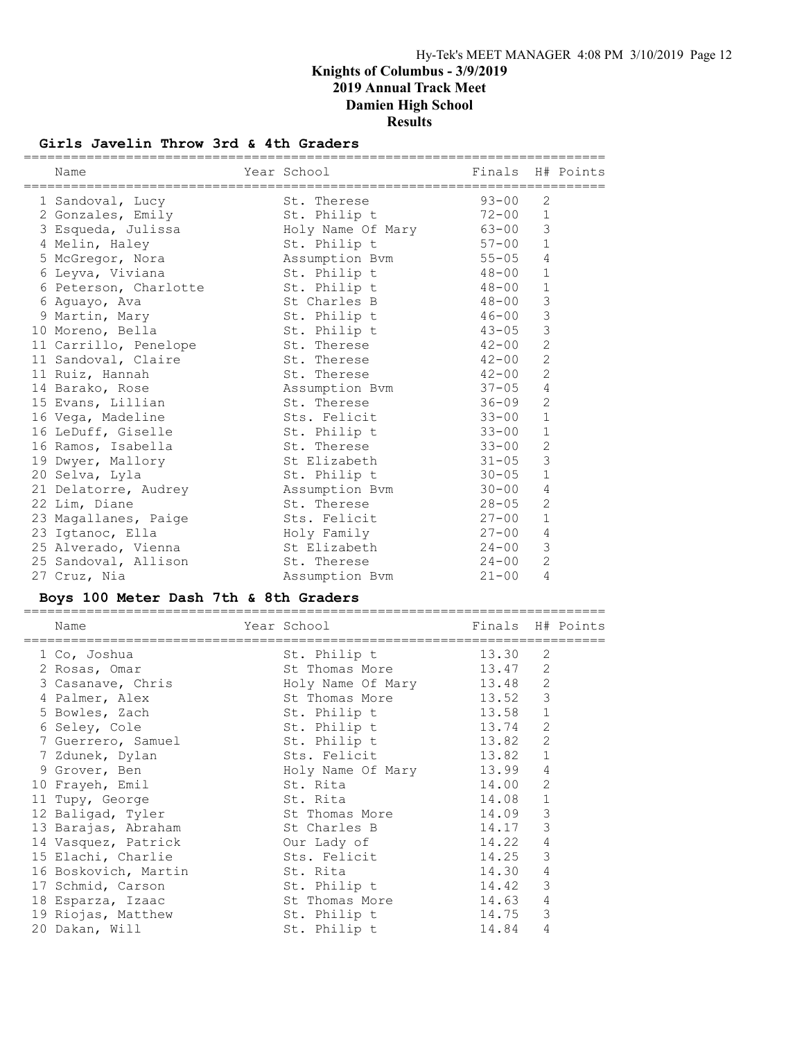### Girls Javelin Throw 3rd & 4th Graders

| Name                                      | Year School          | Finals H# Points |                |  |
|-------------------------------------------|----------------------|------------------|----------------|--|
| 1 Sandoval, Lucy                          | St. Therese          | $93 - 00$        | 2              |  |
| 2 Gonzales, Emily                         | St. Philip t         | $72 - 00$        | $\mathbf{1}$   |  |
|                                           |                      |                  | 3              |  |
| 4 Melin, Haley                            | St. Philip t         | $57 - 00$ 1      |                |  |
| 5 McGregor, Nora                          | Assumption Bvm 55-05 |                  | $\overline{4}$ |  |
| 6 Leyva, Viviana                          | St. Philip t         | $48 - 00$        | $\mathbf{1}$   |  |
| 6 Peterson, Charlotte 5t. Philip t 48-00  |                      |                  | $\mathbf{1}$   |  |
| 6 Aquayo, Ava                             | St Charles B         | $48 - 00$        | $\mathfrak{Z}$ |  |
| 9 Martin, Mary                            | St. Philip t         | $46 - 00$        | 3              |  |
| 10 Moreno, Bella                          | St. Philip t         | $43 - 05$        | $\mathcal{S}$  |  |
| 11 Carrillo, Penelope 5t. Therese 51 2-00 |                      |                  | 2              |  |
| 11 Sandoval, Claire                       | St. Therese          | $42 - 00$        | 2              |  |
| 11 Ruiz, Hannah                           | St. Therese          | $42 - 00$        | $\overline{2}$ |  |
| 14 Barako, Rose                           | Assumption Bvm       | $37 - 05$        | $\overline{4}$ |  |
| 15 Evans, Lillian                         | St. Therese          | $36 - 09$        | 2              |  |
| 16 Vega, Madeline                         | Sts. Felicit         | $33 - 00$        | $\mathbf{1}$   |  |
| 16 LeDuff, Giselle                        | St. Philip t 33-00   |                  | $\mathbf{1}$   |  |
| 16 Ramos, Isabella                        | St. Therese          | $33 - 00$        | 2              |  |
| 19 Dwyer, Mallory                         | St Elizabeth         | $31 - 05$        | 3              |  |
| 20 Selva, Lyla                            | St. Philip t         | $30 - 05$        | $\mathbf{1}$   |  |
| 21 Delatorre, Audrey Massumption Bvm      |                      | $30 - 00$        | $\overline{4}$ |  |
| 22 Lim, Diane                             | St. Therese          | $28 - 05$        | 2              |  |
| 23 Magallanes, Paige                      | Sts. Felicit         | $27 - 00$        | $\mathbf{1}$   |  |
| 23 Iqtanoc, Ella                          | Holy Family          | $27 - 00$        | $\overline{4}$ |  |
| 25 Alverado, Vienna                       | St Elizabeth 24-00   |                  | 3              |  |
| 25 Sandoval, Allison St. Therese          |                      | $24 - 00$        | 2              |  |
| 27 Cruz, Nia                              | Assumption Bvm       | $21 - 00$        | 4              |  |

### Boys 100 Meter Dash 7th & 8th Graders

| Name<br>============ | Year School and the School and the School and the School | Finals H# Points |              |  |
|----------------------|----------------------------------------------------------|------------------|--------------|--|
| 1 Co, Joshua         | St. Philip t                                             | 13.30            | 2            |  |
| 2 Rosas, Omar        | St Thomas More                                           | 13.47            | 2            |  |
| 3 Casanave, Chris    | Holy Name Of Mary                                        | 13.48            | 2            |  |
| 4 Palmer, Alex       | St Thomas More                                           | 13.52            | 3            |  |
| 5 Bowles, Zach       | St. Philip t                                             | 13.58            | $\mathbf 1$  |  |
| 6 Seley, Cole        | St. Philip t                                             | 13.74            | 2            |  |
| 7 Guerrero, Samuel   | St. Philip t                                             | 13.82            | 2            |  |
| 7 Zdunek, Dylan      | Sts. Felicit                                             | 13.82            | $\mathbf{1}$ |  |
| 9 Grover, Ben        | Holy Name Of Mary                                        | 13.99            | 4            |  |
| 10 Frayeh, Emil      | St. Rita                                                 | 14.00            | 2            |  |
| 11 Tupy, George      | St. Rita                                                 | 14.08            | $\mathbf{1}$ |  |
| 12 Baligad, Tyler    | St Thomas More                                           | 14.09            | 3            |  |
| 13 Barajas, Abraham  | St Charles B                                             | 14.17            | 3            |  |
| 14 Vasquez, Patrick  | Our Lady of                                              | 14.22            | 4            |  |
| 15 Elachi, Charlie   | Sts. Felicit                                             | 14.25            | 3            |  |
| 16 Boskovich, Martin | St. Rita                                                 | 14.30            | 4            |  |
| 17 Schmid, Carson    | St. Philip t                                             | 14.42            | 3            |  |
| 18 Esparza, Izaac    | St Thomas More                                           | 14.63            | 4            |  |
| 19 Riojas, Matthew   | St. Philip t                                             | 14.75            | 3            |  |
| 20 Dakan, Will       | St. Philip t                                             | 14.84            | 4            |  |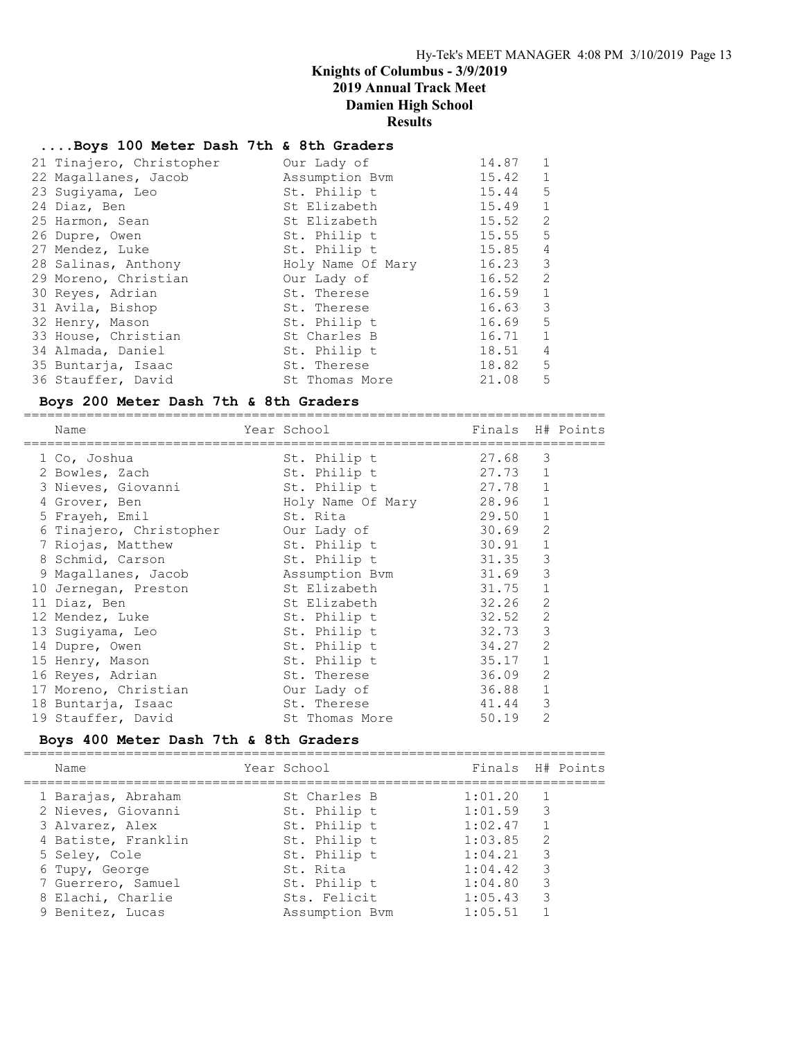#### ....Boys 100 Meter Dash 7th & 8th Graders

| 21 Tinajero, Christopher | Our Lady of       | 14.87 | $\mathbf{1}$  |
|--------------------------|-------------------|-------|---------------|
| 22 Magallanes, Jacob     | Assumption Bvm    | 15.42 | 1             |
| 23 Sugiyama, Leo         | St. Philip t      | 15.44 | 5             |
| 24 Diaz, Ben             | St Elizabeth      | 15.49 | 1             |
| 25 Harmon, Sean          | St Elizabeth      | 15.52 | 2             |
| 26 Dupre, Owen           | St. Philip t      | 15.55 | 5             |
| 27 Mendez, Luke          | St. Philip t      | 15.85 | 4             |
| 28 Salinas, Anthony      | Holy Name Of Mary | 16.23 | 3             |
| 29 Moreno, Christian     | Our Lady of       | 16.52 | $\mathcal{L}$ |
| 30 Reyes, Adrian         | St. Therese       | 16.59 | $\mathbf{1}$  |
| 31 Avila, Bishop         | St. Therese       | 16.63 | 3             |
| 32 Henry, Mason          | St. Philip t      | 16.69 | 5             |
| 33 House, Christian      | St Charles B      | 16.71 | $\mathbf{1}$  |
| 34 Almada, Daniel        | St. Philip t      | 18.51 | 4             |
| 35 Buntarja, Isaac       | St. Therese       | 18.82 | 5             |
| 36 Stauffer, David       | St Thomas More    | 21.08 | 5             |

#### Boys 200 Meter Dash 7th & 8th Graders

| Name |                                                                                                                                                                                                                                                                                                                                                                         |                |                                                                                                                                                                                                                                                                                            |              |                                                                                                                                                                                      |
|------|-------------------------------------------------------------------------------------------------------------------------------------------------------------------------------------------------------------------------------------------------------------------------------------------------------------------------------------------------------------------------|----------------|--------------------------------------------------------------------------------------------------------------------------------------------------------------------------------------------------------------------------------------------------------------------------------------------|--------------|--------------------------------------------------------------------------------------------------------------------------------------------------------------------------------------|
|      |                                                                                                                                                                                                                                                                                                                                                                         | St. Philip t   |                                                                                                                                                                                                                                                                                            | 3            |                                                                                                                                                                                      |
|      |                                                                                                                                                                                                                                                                                                                                                                         |                |                                                                                                                                                                                                                                                                                            |              |                                                                                                                                                                                      |
|      |                                                                                                                                                                                                                                                                                                                                                                         |                |                                                                                                                                                                                                                                                                                            | $\mathbf{1}$ |                                                                                                                                                                                      |
|      |                                                                                                                                                                                                                                                                                                                                                                         |                |                                                                                                                                                                                                                                                                                            | $\mathbf{1}$ |                                                                                                                                                                                      |
|      |                                                                                                                                                                                                                                                                                                                                                                         |                |                                                                                                                                                                                                                                                                                            | $\mathbf{1}$ |                                                                                                                                                                                      |
|      |                                                                                                                                                                                                                                                                                                                                                                         |                |                                                                                                                                                                                                                                                                                            | 2            |                                                                                                                                                                                      |
|      |                                                                                                                                                                                                                                                                                                                                                                         |                |                                                                                                                                                                                                                                                                                            | $\mathbf 1$  |                                                                                                                                                                                      |
|      |                                                                                                                                                                                                                                                                                                                                                                         |                |                                                                                                                                                                                                                                                                                            | 3            |                                                                                                                                                                                      |
|      |                                                                                                                                                                                                                                                                                                                                                                         |                |                                                                                                                                                                                                                                                                                            | 3            |                                                                                                                                                                                      |
|      |                                                                                                                                                                                                                                                                                                                                                                         |                |                                                                                                                                                                                                                                                                                            | $\mathbf{1}$ |                                                                                                                                                                                      |
|      |                                                                                                                                                                                                                                                                                                                                                                         | St Elizabeth   |                                                                                                                                                                                                                                                                                            | 2            |                                                                                                                                                                                      |
|      |                                                                                                                                                                                                                                                                                                                                                                         | St. Philip t   |                                                                                                                                                                                                                                                                                            | 2            |                                                                                                                                                                                      |
|      |                                                                                                                                                                                                                                                                                                                                                                         | St. Philip t   |                                                                                                                                                                                                                                                                                            | 3            |                                                                                                                                                                                      |
|      |                                                                                                                                                                                                                                                                                                                                                                         | St. Philip t   |                                                                                                                                                                                                                                                                                            | 2            |                                                                                                                                                                                      |
|      |                                                                                                                                                                                                                                                                                                                                                                         | St. Philip t   |                                                                                                                                                                                                                                                                                            | $\mathbf{1}$ |                                                                                                                                                                                      |
|      |                                                                                                                                                                                                                                                                                                                                                                         | St. Therese    |                                                                                                                                                                                                                                                                                            | 2            |                                                                                                                                                                                      |
|      |                                                                                                                                                                                                                                                                                                                                                                         |                |                                                                                                                                                                                                                                                                                            | $\mathbf{1}$ |                                                                                                                                                                                      |
|      |                                                                                                                                                                                                                                                                                                                                                                         |                |                                                                                                                                                                                                                                                                                            | 3            |                                                                                                                                                                                      |
|      |                                                                                                                                                                                                                                                                                                                                                                         | St Thomas More | 50.19                                                                                                                                                                                                                                                                                      | 2            |                                                                                                                                                                                      |
|      | 1 Co, Joshua<br>2 Bowles, Zach<br>3 Nieves, Giovanni<br>4 Grover, Ben<br>5 Frayeh, Emil<br>6 Tinajero, Christopher<br>7 Riojas, Matthew<br>8 Schmid, Carson<br>10 Jernegan, Preston<br>11 Diaz, Ben<br>12 Mendez, Luke<br>13 Sugiyama, Leo<br>14 Dupre, Owen<br>15 Henry, Mason<br>16 Reyes, Adrian<br>17 Moreno, Christian<br>18 Buntarja, Isaac<br>19 Stauffer, David |                | Year School and the School and the School and the School and the School and the School<br>St. Philip t<br>St. Philip t<br>Holy Name Of Mary<br>St. Rita<br>Our Lady of<br>St. Philip t<br>St. Philip t<br>9 Magallanes, Jacob Assumption Bvm<br>St Elizabeth<br>Our Lady of<br>St. Therese |              | Finals H# Points<br>27.68<br>27.73 1<br>27.78<br>28.96<br>29.50<br>30.69<br>30.91<br>31.35<br>31.69<br>31.75<br>32.26<br>32.52<br>32.73<br>34.27<br>35.17<br>36.09<br>36.88<br>41.44 |

#### Boys 400 Meter Dash 7th & 8th Graders

========================================================================== Year School Finals H# Points ========================================================================== 1 Barajas, Abraham St Charles B 1:01.20 1 2 Nieves, Giovanni St. Philip t 1:01.59 3 3 Alvarez, Alex St. Philip t 1:02.47 1 4 Batiste, Franklin St. Philip t 1:03.85 2 5 Seley, Cole 5 Seley, Cole 5 St. Philip t 1:04.21 3 6 Tupy, George St. Rita 1:04.42 3 7 Guerrero, Samuel St. Philip t 1:04.80 3 8 Elachi, Charlie Sts. Felicit 1:05.43 3 9 Benitez, Lucas Assumption Bvm 1:05.51 1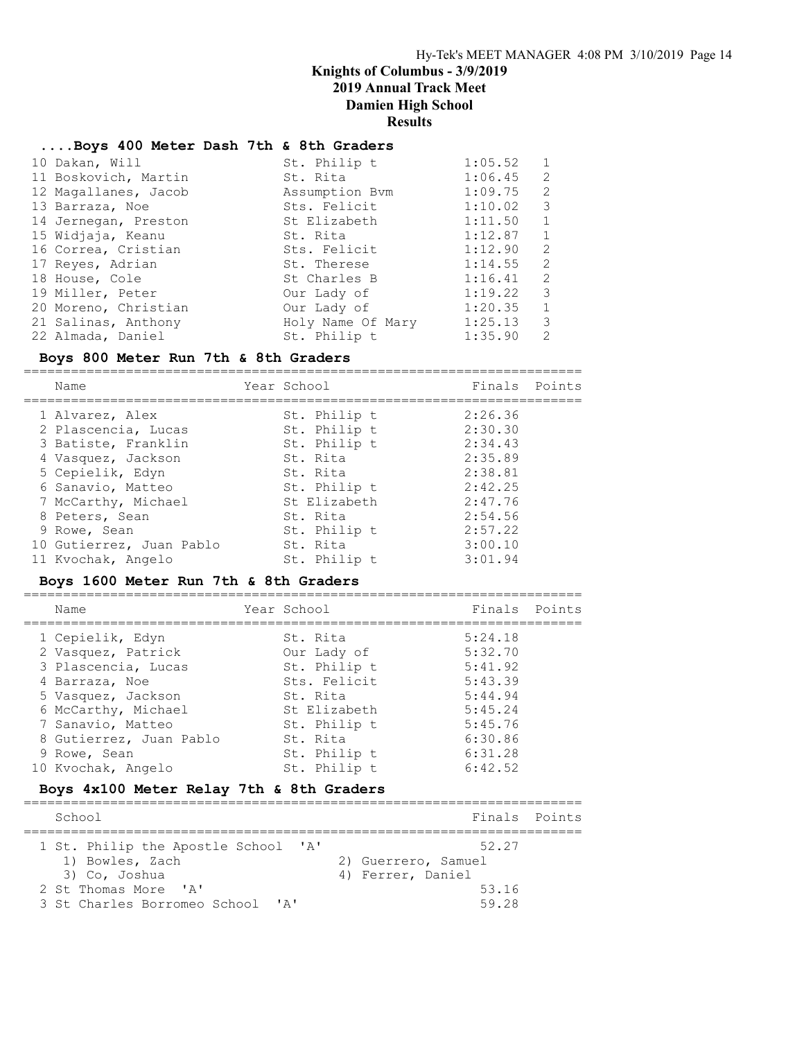# ....Boys 400 Meter Dash 7th & 8th Graders

| 10 Dakan, Will       | St. Philip t      | 1:05.52 | $\mathbf{1}$ |
|----------------------|-------------------|---------|--------------|
| 11 Boskovich, Martin | St. Rita          | 1:06.45 | 2            |
| 12 Magallanes, Jacob | Assumption Bym    | 1:09.75 | 2            |
| 13 Barraza, Noe      | Sts. Felicit      | 1:10.02 | 3            |
| 14 Jernegan, Preston | St Elizabeth      | 1:11.50 | $\mathbf{1}$ |
| 15 Widjaja, Keanu    | St. Rita          | 1:12.87 | 1            |
| 16 Correa, Cristian  | Sts. Felicit      | 1:12.90 | 2            |
| 17 Reyes, Adrian     | St. Therese       | 1:14.55 | 2            |
| 18 House, Cole       | St Charles B      | 1:16.41 | 2            |
| 19 Miller, Peter     | Our Lady of       | 1:19.22 | 3            |
| 20 Moreno, Christian | Our Lady of       | 1:20.35 | $\mathbf{1}$ |
| 21 Salinas, Anthony  | Holy Name Of Mary | 1:25.13 | 3            |
| 22 Almada, Daniel    | St. Philip t      | 1:35.90 | 2            |
|                      |                   |         |              |

### Boys 800 Meter Run 7th & 8th Graders

======================================================================= Name Year School Finals Points

|  | Name                     | rear School |              | Finals  | POINTS |
|--|--------------------------|-------------|--------------|---------|--------|
|  | 1 Alvarez, Alex          |             | St. Philip t | 2:26.36 |        |
|  | 2 Plascencia, Lucas      |             | St. Philip t | 2:30.30 |        |
|  | 3 Batiste, Franklin      |             | St. Philip t | 2:34.43 |        |
|  | 4 Vasquez, Jackson       |             | St. Rita     | 2:35.89 |        |
|  | 5 Cepielik, Edyn         |             | St. Rita     | 2:38.81 |        |
|  | 6 Sanavio, Matteo        |             | St. Philip t | 2:42.25 |        |
|  | 7 McCarthy, Michael      |             | St Elizabeth | 2:47.76 |        |
|  | 8 Peters, Sean           |             | St. Rita     | 2:54.56 |        |
|  | 9 Rowe, Sean             |             | St. Philip t | 2:57.22 |        |
|  | 10 Gutierrez, Juan Pablo |             | St. Rita     | 3:00.10 |        |
|  | 11 Kvochak, Angelo       |             | St. Philip t | 3:01.94 |        |
|  |                          |             |              |         |        |

### Boys 1600 Meter Run 7th & 8th Graders

| Name                    | Year School  | Finals Points |  |
|-------------------------|--------------|---------------|--|
| 1 Cepielik, Edyn        | St. Rita     | 5:24.18       |  |
| 2 Vasquez, Patrick      | Our Lady of  | 5:32.70       |  |
| 3 Plascencia, Lucas     | St. Philip t | 5:41.92       |  |
| 4 Barraza, Noe          | Sts. Felicit | 5:43.39       |  |
| 5 Vasquez, Jackson      | St. Rita     | 5:44.94       |  |
| 6 McCarthy, Michael     | St Elizabeth | 5:45.24       |  |
| 7 Sanavio, Matteo       | St. Philip t | 5:45.76       |  |
| 8 Gutierrez, Juan Pablo | St. Rita     | 6:30.86       |  |
| 9 Rowe, Sean            | St. Philip t | 6:31.28       |  |
| 10 Kvochak, Angelo      | St. Philip t | 6:42.52       |  |

### Boys 4x100 Meter Relay 7th & 8th Graders

| School                              | Finals Points       |
|-------------------------------------|---------------------|
| 1 St. Philip the Apostle School 'A' | 52 27               |
| 1) Bowles, Zach                     | 2) Guerrero, Samuel |
| 3) Co, Joshua                       | 4) Ferrer, Daniel   |
| 2 St Thomas More 'A'                | 53.16               |
| 3 St Charles Borromeo School 'A'    | 59 28               |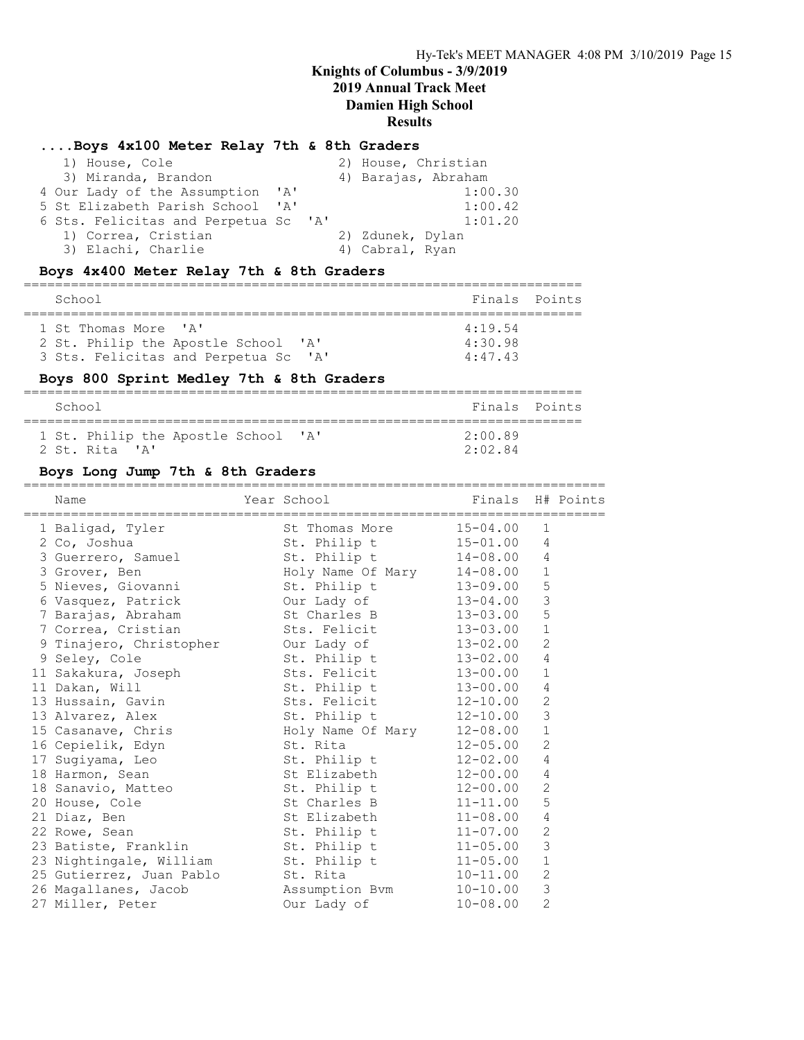### ....Boys 4x100 Meter Relay 7th & 8th Graders

| 1) House, Cole                       |              | 2) House, Christian |
|--------------------------------------|--------------|---------------------|
| 3) Miranda, Brandon                  |              | 4) Barajas, Abraham |
| 4 Our Lady of the Assumption         | $\mathsf{A}$ | 1:00.30             |
| 5 St Elizabeth Parish School 'A'     |              | 1:00.42             |
| 6 Sts. Felicitas and Perpetua Sc 'A' |              | 1:01.20             |
| 1) Correa, Cristian                  |              | 2) Zdunek, Dylan    |
| 3) Elachi, Charlie                   |              | 4) Cabral, Ryan     |

### Boys 4x400 Meter Relay 7th & 8th Graders

| School                               |                 | Finals Points |
|--------------------------------------|-----------------|---------------|
| 1 St Thomas More 'A'                 | 4:19.54         |               |
| 2 St. Philip the Apostle School 'A'  | $4 \cdot 30$ 98 |               |
| 3 Sts. Felicitas and Perpetua Sc 'A' | 4:47.43         |               |

### Boys 800 Sprint Medley 7th & 8th Graders

| School                              | Finals Points   |  |
|-------------------------------------|-----------------|--|
| 1 St. Philip the Apostle School 'A' | $2 \cdot 00$ 89 |  |
| 2 St. Rita 'A'                      | 2:02.84         |  |

### Boys Long Jump 7th & 8th Graders

| Name                                                                                 | Year School                                                             | Finals H# Points |                           |  |
|--------------------------------------------------------------------------------------|-------------------------------------------------------------------------|------------------|---------------------------|--|
|                                                                                      |                                                                         |                  | 1                         |  |
| 1 Baligad, Tyler 51 St Thomas More 15-04.00<br>2 Co, Joshua 31 St. Philip t 15-01.00 |                                                                         |                  | $\overline{4}$            |  |
| 3 Guerrero, Samuel 5t. Philip t 14-08.00 4                                           |                                                                         |                  |                           |  |
|                                                                                      |                                                                         |                  | $\mathbf{1}$              |  |
| 3 Grover, Ben Moly Name Of Mary 14-08.00<br>5 Nieves, Giovanni St. Philip t 13-09.00 |                                                                         |                  | 5                         |  |
| 6 Vasquez, Patrick                                                                   | Our Lady of $13-04.00$                                                  |                  | 3                         |  |
| 7 Barajas, Abraham                                                                   | St Charles B 13-03.00                                                   |                  | 5                         |  |
| 7 Correa, Cristian                                                                   | Sts. Felicit 13-03.00                                                   |                  | $1\,$                     |  |
|                                                                                      |                                                                         |                  | $\overline{2}$            |  |
| 9 Tinajero, Christopher Our Lady of 13-02.00<br>9 Seley, Cole 5t. Philip t 13-02.00  |                                                                         |                  | $\overline{4}$            |  |
| 11 Sakakura, Joseph Sts. Felicit 13-00.00                                            |                                                                         |                  | $\mathbf{1}$              |  |
| 11 Dakan, Will                                                                       | St. Philip $t = 13-00.00$                                               |                  | $\overline{4}$            |  |
| 13 Hussain, Gavin                                                                    | Sts. Felicit 12-10.00                                                   |                  | 2                         |  |
| 13 Alvarez, Alex                                                                     | St. Philip t 12-10.00                                                   |                  | $\mathsf 3$               |  |
|                                                                                      |                                                                         |                  | $\mathbf 1$               |  |
|                                                                                      |                                                                         |                  | $\mathbf{2}$              |  |
| 17 Sugiyama, Leo St. Philip t 12-02.00                                               |                                                                         |                  | 4                         |  |
| 18 Harmon, Sean                                                                      | St Elizabeth 12-00.00                                                   |                  | 4                         |  |
| 18 Sanavio, Matteo St. Philip t 12-00.00                                             |                                                                         |                  | 2                         |  |
| 20 House, Cole                                                                       |                                                                         |                  | 5                         |  |
| 21 Diaz, Ben                                                                         |                                                                         |                  | $\overline{4}$            |  |
| 22 Rowe, Sean                                                                        | St Charles B 11-11.00<br>St Elizabeth 11-08.00<br>St. Philip t 11-07.00 |                  | $\sqrt{2}$                |  |
| 23 Batiste, Franklin St. Philip t 11-05.00                                           |                                                                         |                  | $\ensuremath{\mathsf{3}}$ |  |
| 23 Nightingale, William St. Philip t 11-05.00                                        |                                                                         |                  | $\mathbf 1$               |  |
| 25 Gutierrez, Juan Pablo St. Rita                                                    |                                                                         | $10 - 11.00$     | $\mathbf{2}$              |  |
| 26 Magallanes, Jacob (Assumption Bvm (10-10.00)                                      |                                                                         |                  | 3                         |  |
| 27 Miller, Peter                                                                     | Our Lady of                                                             | $10 - 08.00$     | $\overline{2}$            |  |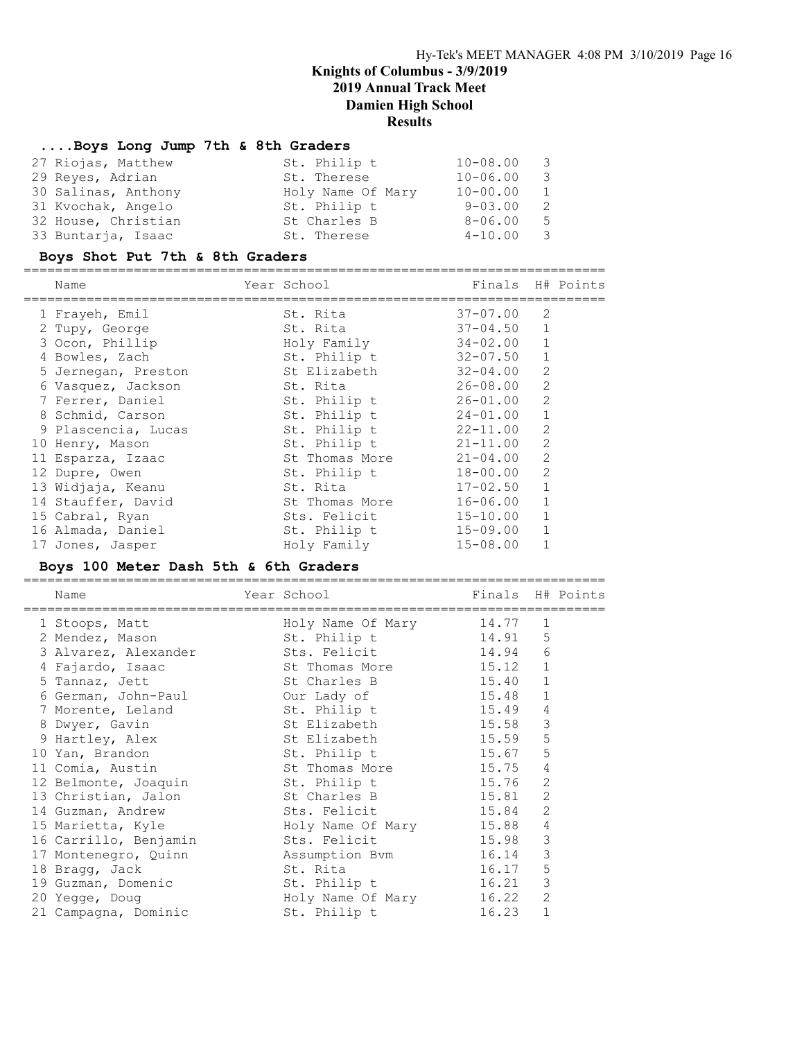### ....Boys Long Jump 7th & 8th Graders

| St. Philip t      | $10 - 08.00$ | - 3 |
|-------------------|--------------|-----|
| St. Therese       | $10 - 06.00$ | - 3 |
| Holy Name Of Mary | $10 - 00.00$ | 1   |
| St. Philip t      | $9 - 03.00$  | - 2 |
| St Charles B      | $8 - 06.00$  | - 5 |
| St. Therese       | $4 - 10.00$  | - 3 |
|                   |              |     |

### Boys Shot Put 7th & 8th Graders

==========================================================================

| Name                | Year School    | Finals H# Points |                |  |
|---------------------|----------------|------------------|----------------|--|
| 1 Frayeh, Emil      | St. Rita       | $37 - 07.00$     | 2              |  |
| 2 Tupy, George      | St. Rita       | 37-04.50         | $\mathbf{1}$   |  |
| 3 Ocon, Phillip     | Holy Family    | 34-02.00         | $\mathbf{1}$   |  |
| 4 Bowles, Zach      | St. Philip t   | 32-07.50         | $\mathbf{1}$   |  |
| 5 Jernegan, Preston | St Elizabeth   | 32-04.00         | 2              |  |
| 6 Vasquez, Jackson  | St. Rita       | 26-08.00         | 2              |  |
| 7 Ferrer, Daniel    | St. Philip t   | $26 - 01.00$     | 2              |  |
| 8 Schmid, Carson    | St. Philip t   | $24 - 01.00$     | $\mathbf{1}$   |  |
| 9 Plascencia, Lucas | St. Philip t   | $22 - 11.00$     | 2              |  |
| 10 Henry, Mason     | St. Philip t   | $21 - 11.00$     | $\overline{2}$ |  |
| 11 Esparza, Izaac   | St Thomas More | $21 - 04.00$     | 2              |  |
| 12 Dupre, Owen      | St. Philip t   | $18 - 00.00$     | 2              |  |
| 13 Widjaja, Keanu   | St. Rita       | $17 - 02.50$     | $\mathbf{1}$   |  |
| 14 Stauffer, David  | St Thomas More | $16 - 06.00$     |                |  |
| 15 Cabral, Ryan     | Sts. Felicit   | $15 - 10.00$     |                |  |
| 16 Almada, Daniel   | St. Philip t   | $15 - 09.00$     |                |  |
| 17 Jones, Jasper    | Holy Family    | $15 - 08.00$     |                |  |

### Boys 100 Meter Dash 5th & 6th Graders

| Name                                              | Year School        | Finals H# Points |              |  |
|---------------------------------------------------|--------------------|------------------|--------------|--|
| 1 Stoops, Matt                                    | Holy Name Of Mary  | 14.77            | 1            |  |
| 2 Mendez, Mason                                   | St. Philip t       | 14.91            | 5            |  |
| 3 Alvarez, Alexander                              | Sts. Felicit       | 14.94            | 6            |  |
| 4 Fajardo, Isaac                                  | St Thomas More     | 15.12            | 1            |  |
| 5 Tannaz, Jett                                    | St Charles B       | 15.40            | $\mathbf{1}$ |  |
| 6 German, John-Paul our Lady of                   |                    | 15.48            | $\mathbf{1}$ |  |
| 7 Morente, Leland                                 | St. Philip t       | 15.49            | 4            |  |
| 8 Dwyer, Gavin                                    | St Elizabeth       | 15.58            | 3            |  |
| 9 Hartley, Alex                                   | St Elizabeth       | 15.59            | 5            |  |
| 10 Yan, Brandon                                   | St. Philip t       | 15.67            | 5            |  |
| 11 Comia, Austin                                  | St Thomas More     | 15.75            | 4            |  |
| 12 Belmonte, Joaquin                              | St. Philip t       | 15.76            | 2            |  |
| 13 Christian, Jalon                               | St Charles B       | 15.81            | 2            |  |
| 14 Guzman, Andrew                                 | Sts. Felicit 15.84 |                  | 2            |  |
| 15 Marietta, Kyle                                 | Holy Name Of Mary  | 15.88            | 4            |  |
| 16 Carrillo, Benjamin                             | Sts. Felicit       | 15.98            | 3            |  |
| 17 Montenegro, Quinn <a> B<br/>assumption Bvm</a> |                    | 16.14            | 3            |  |
| 18 Bragg, Jack                                    | St. Rita           | 16.17            | 5            |  |
| 19 Guzman, Domenic St. Philip t                   |                    | 16.21            | 3            |  |
| 20 Yegge, Doug                                    | Holy Name Of Mary  | 16.22            | 2            |  |
| 21 Campagna, Dominic                              | St. Philip t       | 16.23            | $\mathbf{1}$ |  |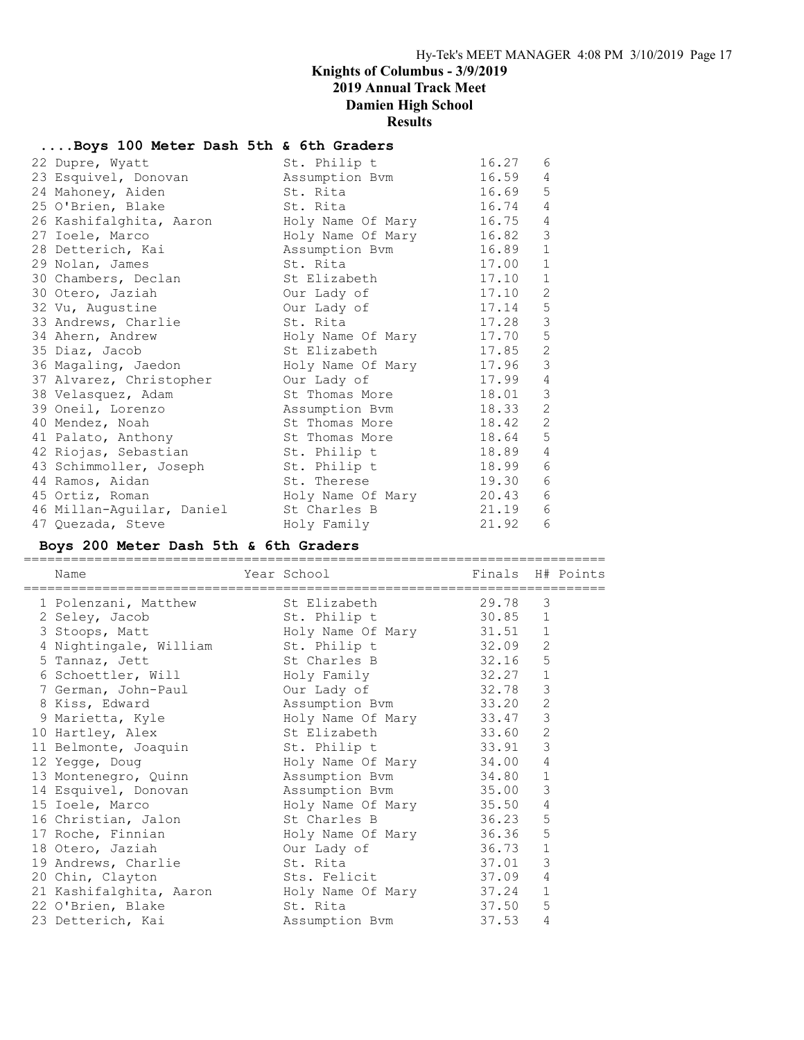### ....Boys 100 Meter Dash 5th & 6th Graders

| 22 Dupre, Wyatt           | St. Philip t      | 16.27 | 6              |
|---------------------------|-------------------|-------|----------------|
| 23 Esquivel, Donovan      | Assumption Bvm    | 16.59 | 4              |
| 24 Mahoney, Aiden         | St. Rita          | 16.69 | 5              |
| 25 O'Brien, Blake         | St. Rita          | 16.74 | 4              |
| 26 Kashifalghita, Aaron   | Holy Name Of Mary | 16.75 | 4              |
| 27 Ioele, Marco           | Holy Name Of Mary | 16.82 | $\mathsf 3$    |
| 28 Detterich, Kai         | Assumption Bvm    | 16.89 | $1\,$          |
| 29 Nolan, James           | St. Rita          | 17.00 | $\mathbf 1$    |
| 30 Chambers, Declan       | St Elizabeth      | 17.10 | $\mathbf{1}$   |
| 30 Otero, Jaziah          | Our Lady of       | 17.10 | 2              |
| 32 Vu, Augustine          | Our Lady of       | 17.14 | $\mathsf S$    |
| 33 Andrews, Charlie       | St. Rita          | 17.28 | $\mathfrak{Z}$ |
| 34 Ahern, Andrew          | Holy Name Of Mary | 17.70 | $\mathsf S$    |
| 35 Diaz, Jacob            | St Elizabeth      | 17.85 | $\mathbf{2}$   |
| 36 Magaling, Jaedon       | Holy Name Of Mary | 17.96 | $\mathsf 3$    |
| 37 Alvarez, Christopher   | Our Lady of       | 17.99 | 4              |
| 38 Velasquez, Adam        | St Thomas More    | 18.01 | $\mathsf 3$    |
| 39 Oneil, Lorenzo         | Assumption Bvm    | 18.33 | 2              |
| 40 Mendez, Noah           | St Thomas More    | 18.42 | 2              |
| 41 Palato, Anthony        | St Thomas More    | 18.64 | 5              |
| 42 Riojas, Sebastian      | St. Philip t      | 18.89 | 4              |
| 43 Schimmoller, Joseph    | St. Philip t      | 18.99 | 6              |
| 44 Ramos, Aidan           | St. Therese       | 19.30 | 6              |
| 45 Ortiz, Roman           | Holy Name Of Mary | 20.43 | 6              |
| 46 Millan-Aguilar, Daniel | St Charles B      | 21.19 | 6              |
| 47 Quezada, Steve         | Holy Family       | 21.92 | 6              |

### Boys 200 Meter Dash 5th & 6th Graders

==========================================================================

| Name<br>===============================                         | Year School and the School | Finals H# Points |                |  |
|-----------------------------------------------------------------|----------------------------|------------------|----------------|--|
| 1 Polenzani, Matthew St Elizabeth 29.78                         |                            |                  | 3              |  |
|                                                                 |                            |                  |                |  |
|                                                                 |                            |                  |                |  |
| 4 Nightingale, William St. Philip t 32.09                       |                            |                  | 2              |  |
| 5 Tannaz, Jett St Charles B 32.16                               |                            |                  | 5              |  |
| 6 Schoettler, Will Moly Family 32.27 1                          |                            |                  |                |  |
| 7 German, John-Paul bur Lady of 32.78                           |                            |                  | $\mathcal{S}$  |  |
| 8 Kiss, Edward                                                  | Assumption Bvm 33.20       |                  | 2              |  |
| 9 Marietta, Kyle Moly Name Of Mary 33.47                        |                            |                  | 3              |  |
| 10 Hartley, Alex                                                | St Elizabeth 33.60         |                  | $\mathbf{2}$   |  |
| 11 Belmonte, Joaquin St. Philip t 33.91                         |                            |                  | 3              |  |
| 12 Yegge, Doug                                                  | Holy Name Of Mary 34.00    |                  | $\overline{4}$ |  |
| 13 Montenegro, Quinn Massumption Bvm 34.80                      |                            |                  | $\mathbf{1}$   |  |
| 14 Esquivel, Donovan           Assumption Bvm             35.00 |                            |                  | 3              |  |
| 15 Ioele, Marco Moly Name Of Mary 35.50                         |                            |                  | $\overline{4}$ |  |
| 16 Christian, Jalon 51 St Charles B 36.23                       |                            |                  | 5              |  |
| 17 Roche, Finnian Moly Name Of Mary 36.36                       |                            |                  | 5              |  |
| 18 Otero, Jaziah                                                | Our Lady of                | 36.73            | $\mathbf 1$    |  |
| 19 Andrews, Charlie 5t. Rita                                    |                            | 37.01            | 3              |  |
| 20 Chin, Clayton                                                | Sts. Felicit 37.09         |                  | 4              |  |
| 21 Kashifalghita, Aaron Moly Name Of Mary 37.24 1               |                            |                  |                |  |
| 22 O'Brien, Blake                                               | St. Rita                   | 37.50            | 5              |  |
| 23 Detterich, Kai Massumption Bvm                               |                            | $37.53$ 4        |                |  |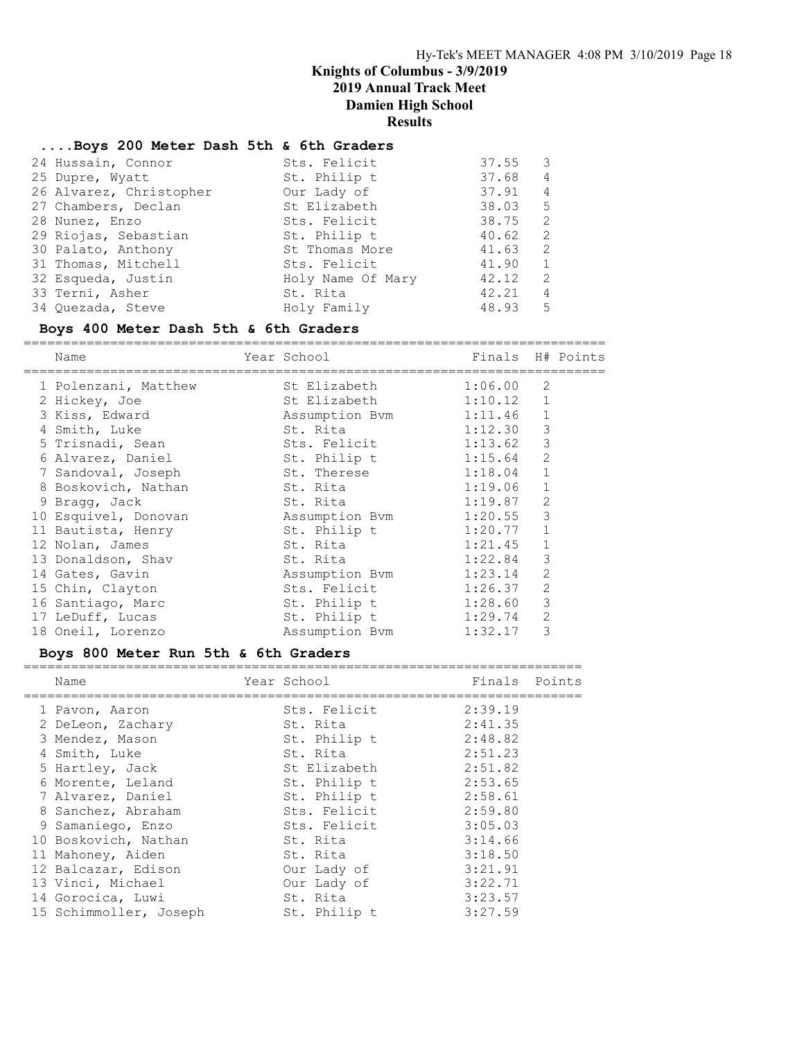#### ....Boys 200 Meter Dash 5th & 6th Graders

| 24 Hussain, Connor      | Sts. Felicit      | 37.55 | 3              |
|-------------------------|-------------------|-------|----------------|
| 25 Dupre, Wyatt         | St. Philip t      | 37.68 | $\overline{4}$ |
| 26 Alvarez, Christopher | Our Lady of       | 37.91 | $\overline{4}$ |
| 27 Chambers, Declan     | St Elizabeth      | 38.03 | - 5            |
| 28 Nunez, Enzo          | Sts. Felicit      | 38.75 | -2             |
| 29 Riojas, Sebastian    | St. Philip t      | 40.62 | 2              |
| 30 Palato, Anthony      | St Thomas More    | 41.63 | -2             |
| 31 Thomas, Mitchell     | Sts. Felicit      | 41.90 | 1              |
| 32 Esqueda, Justin      | Holy Name Of Mary | 42.12 | 2              |
| 33 Terni, Asher         | St. Rita          | 42.21 | 4              |
| 34 Ouezada, Steve       | Holy Family       | 48.93 | - 5            |
|                         |                   |       |                |

#### Boys 400 Meter Dash 5th & 6th Graders

========================================================================== Name Year School Finals H# Points ========================================================================== 1 Polenzani, Matthew St Elizabeth 1:06.00 2 2 Hickey, Joe St Elizabeth 1:10.12 1 3 Kiss, Edward Assumption Bvm 1:11.46 1 4 Smith, Luke St. Rita 1:12.30 3 5 Trisnadi, Sean Sts. Felicit 1:13.62 3 6 Alvarez, Daniel St. Philip t 1:15.64 2 7 Sandoval, Joseph St. Therese 1:18.04 1 8 Boskovich, Nathan St. Rita 1:19.06 1 9 Bragg, Jack St. Rita 1:19.87 2 10 Esquivel, Donovan Assumption Bvm 1:20.55 3 11 Bautista, Henry St. Philip t 1:20.77 1 12 Nolan, James St. Rita 1:21.45 1 13 Donaldson, Shav St. Rita 1:22.84 3 14 Gates, Gavin Assumption Bvm 1:23.14 2 15 Chin, Clayton Sts. Felicit 1:26.37 2 16 Santiago, Marc St. Philip t 1:28.60 3 17 LeDuff, Lucas St. Philip t 1:29.74 2 18 Oneil, Lorenzo Assumption Bvm 1:32.17 3

| Boys 800 Meter Run 5th & 6th Graders                                                                                                                                                                                         |                                                                                                                                                              |                                                                                                                       |  |
|------------------------------------------------------------------------------------------------------------------------------------------------------------------------------------------------------------------------------|--------------------------------------------------------------------------------------------------------------------------------------------------------------|-----------------------------------------------------------------------------------------------------------------------|--|
| Name                                                                                                                                                                                                                         | Year School                                                                                                                                                  | Finals Points                                                                                                         |  |
| 1 Pavon, Aaron<br>2 DeLeon, Zachary<br>3 Mendez, Mason<br>4 Smith, Luke<br>5 Hartley, Jack<br>6 Morente, Leland<br>7 Alvarez, Daniel<br>8 Sanchez, Abraham<br>9 Samaniego, Enzo<br>10 Boskovich, Nathan<br>11 Mahoney, Aiden | Sts. Felicit<br>St. Rita<br>St. Philip t<br>St. Rita<br>St Elizabeth<br>St. Philip t<br>St. Philip t<br>Sts. Felicit<br>Sts. Felicit<br>St. Rita<br>St. Rita | 2:39.19<br>2:41.35<br>2:48.82<br>2:51.23<br>2:51.82<br>2:53.65<br>2:58.61<br>2:59.80<br>3:05.03<br>3:14.66<br>3:18.50 |  |
| 12 Balcazar, Edison<br>13 Vinci, Michael<br>14 Gorocica, Luwi<br>15 Schimmoller, Joseph                                                                                                                                      | Our Lady of<br>Our Lady of<br>St. Rita<br>St. Philip t                                                                                                       | 3:21.91<br>3:22.71<br>3:23.57<br>3:27.59                                                                              |  |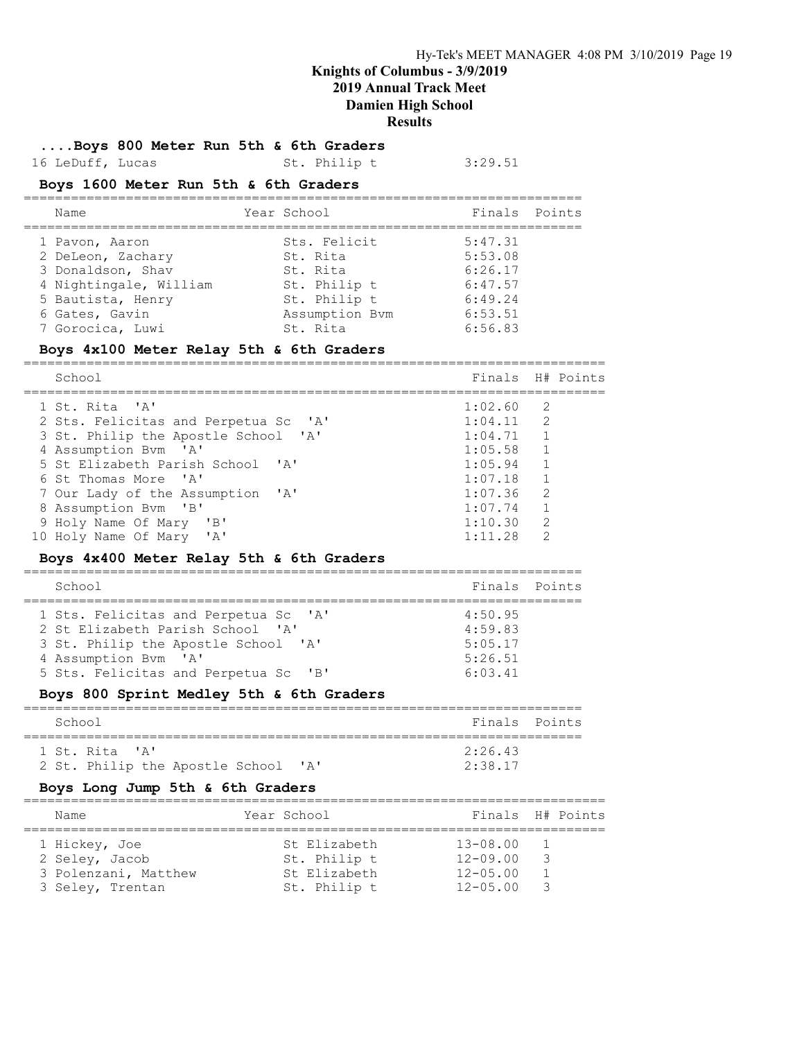....Boys 800 Meter Run 5th & 6th Graders

16 LeDuff, Lucas St. Philip t 3:29.51

#### Boys 1600 Meter Run 5th & 6th Graders

| Name                   | Year School    | Finals Points |
|------------------------|----------------|---------------|
| 1 Pavon, Aaron         | Sts. Felicit   | 5:47.31       |
| 2 DeLeon, Zachary      | St. Rita       | 5:53.08       |
| 3 Donaldson, Shav      | St. Rita       | 6:26.17       |
| 4 Nightingale, William | St. Philip t   | 6:47.57       |
| 5 Bautista, Henry      | St. Philip t   | 6:49.24       |
| 6 Gates, Gavin         | Assumption Bym | 6:53.51       |
| 7 Gorocica, Luwi       | St. Rita       | 6:56.83       |

#### Boys 4x100 Meter Relay 5th & 6th Graders

==========================================================================

| School                               | Finals H# Points |                |  |
|--------------------------------------|------------------|----------------|--|
| 1 St. Rita 'A'                       | 1:02.60 2        |                |  |
| 2 Sts. Felicitas and Perpetua Sc 'A' | 1:04.11          | $\overline{2}$ |  |
| 3 St. Philip the Apostle School 'A'  | 1:04.71          |                |  |
| 4 Assumption Bym 'A'                 | 1:05.58          | $\frac{1}{2}$  |  |
| 5 St Elizabeth Parish School 'A'     | 1:05.94          | $\overline{1}$ |  |
| 6 St Thomas More 'A'                 | 1:07.18          | $\overline{1}$ |  |
| 7 Our Lady of the Assumption 'A'     | 1:07.36          | 2              |  |
| 8 Assumption Bym 'B'                 | 1:07.74          | $\overline{1}$ |  |
| 9 Holy Name Of Mary 'B'              | 1:10.30          | -2             |  |
| 10 Holy Name Of Mary 'A'             | 1:11.28          | $\mathcal{L}$  |  |

#### Boys 4x400 Meter Relay 5th & 6th Graders

| School                                                                                                                                  | Finals Points                            |  |
|-----------------------------------------------------------------------------------------------------------------------------------------|------------------------------------------|--|
| 1 Sts. Felicitas and Perpetua Sc 'A'<br>2 St Elizabeth Parish School 'A'<br>3 St. Philip the Apostle School 'A'<br>4 Assumption Bym 'A' | 4:50.95<br>4:59.83<br>5:05.17<br>5:26.51 |  |
| 5 Sts. Felicitas and Perpetua Sc<br>$'$ $\mathsf{B}$                                                                                    | 6:03.41                                  |  |

#### Boys 800 Sprint Medley 5th & 6th Graders

| School                              | Finals Points |  |
|-------------------------------------|---------------|--|
| 1 St. Rita 'A'                      | $2.26$ 43     |  |
| 2 St. Philip the Apostle School 'A' | 2:38.17       |  |

#### Boys Long Jump 5th & 6th Graders

| Name |                      | Year School  |                 | Finals H# Points |
|------|----------------------|--------------|-----------------|------------------|
|      | 1 Hickey, Joe        | St Elizabeth | $13 - 08.00$    |                  |
|      | 2 Seley, Jacob       | St. Philip t | $12 - 09.00$    | - 3              |
|      | 3 Polenzani, Matthew | St Elizabeth | $12 - 05.00$    |                  |
|      | 3 Seley, Trentan     | St. Philip t | $12 - 0.5$ . 00 |                  |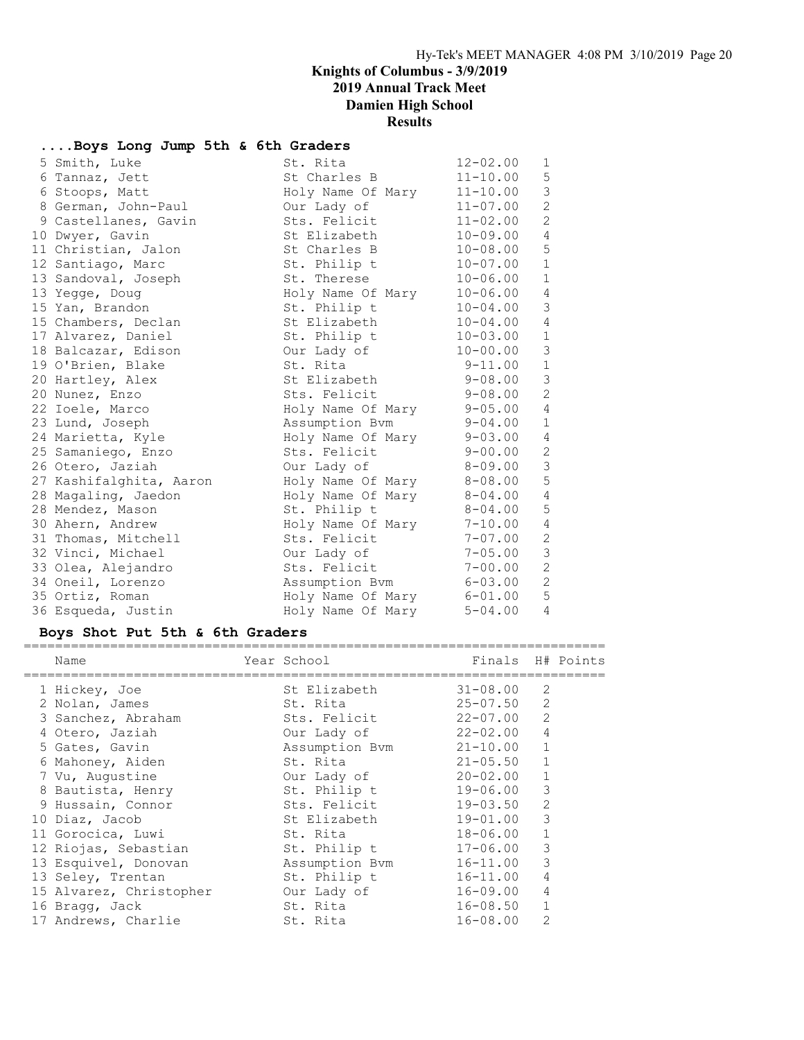# ....Boys Long Jump 5th & 6th Graders

| 5 Smith, Luke           | St. Rita                       | $12 - 02.00$ | $\mathbf{1}$   |
|-------------------------|--------------------------------|--------------|----------------|
| 6 Tannaz, Jett          | St Charles B 11-10.00          |              | 5 <sub>5</sub> |
| 6 Stoops, Matt          | $Holy$ Name Of Mary $11-10.00$ |              | $\overline{3}$ |
| 8 German, John-Paul     | Our Lady of                    | $11 - 07.00$ | $\overline{c}$ |
| 9 Castellanes, Gavin    | Sts. Felicit                   | $11 - 02.00$ | $\overline{2}$ |
| 10 Dwyer, Gavin         | St Elizabeth                   | 10-09.00     | 4              |
| 11 Christian, Jalon     | St Charles B                   | 10-08.00     | 5              |
| 12 Santiago, Marc       | St. Philip t 10-07.00          |              | $1\,$          |
| 13 Sandoval, Joseph     | St. Therese                    | $10 - 06.00$ | $\mathbf{1}$   |
| 13 Yegge, Doug          | Holy Name Of Mary 10-06.00     |              | 4              |
| 15 Yan, Brandon         | St. Philip $t = 10-04.00$      |              | $\mathfrak{Z}$ |
| 15 Chambers, Declan     | St Elizabeth                   | 10-04.00     | 4              |
| 17 Alvarez, Daniel      | St. Philip t 10-03.00          |              | $\,1$          |
| 18 Balcazar, Edison     | Our Lady of 10-00.00           |              | $\mathfrak{Z}$ |
| 19 O'Brien, Blake       | St. Rita                       | $9 - 11.00$  | $\mathbbm{1}$  |
| 20 Hartley, Alex        | St Elizabeth                   | 9-08.00      | $\mathcal{S}$  |
| 20 Nunez, Enzo          | Sts. Felicit                   | 9-08.00      | $\overline{c}$ |
| 22 Ioele, Marco         | Holy Name Of Mary 9-05.00      |              | $\overline{4}$ |
| 23 Lund, Joseph         | Assumption Bvm 9-04.00         |              | $\mathbf 1$    |
| 24 Marietta, Kyle       | Holy Name Of Mary 9-03.00 4    |              |                |
| 25 Samaniego, Enzo      | Sts. Felicit                   | $9 - 00.00$  | $\mathbf{2}$   |
| 26 Otero, Jaziah        | Our Lady of                    | $8 - 09.00$  | $\mathcal{S}$  |
| 27 Kashifalghita, Aaron | Holy Name Of Mary              | $8 - 08.00$  | $\mathbb S$    |
| 28 Magaling, Jaedon     | Holy Name Of Mary              | $8 - 04.00$  | 4              |
| 28 Mendez, Mason        | St. Philip t                   | $8 - 04.00$  | 5              |
| 30 Ahern, Andrew        | Holy Name Of Mary              | $7 - 10.00$  | $\overline{4}$ |
| 31 Thomas, Mitchell     | Sts. Felicit                   | $7 - 07.00$  | $\mathbf{2}$   |
| 32 Vinci, Michael       | Our Lady of                    | $7 - 05.00$  | $\mathfrak{Z}$ |
| 33 Olea, Alejandro      | Sts. Felicit                   | 7-00.00      | $\sqrt{2}$     |
| 34 Oneil, Lorenzo       | Assumption Bvm 6-03.00         |              | $\mathbf{2}$   |
| 35 Ortiz, Roman         | Holy Name Of Mary 6-01.00      |              | 5              |
| 36 Esqueda, Justin      | Holy Name Of Mary              | $5 - 04.00$  | $\overline{4}$ |

### Boys Shot Put 5th & 6th Graders

| Name                    | Year School    | Finals H# Points |                |  |
|-------------------------|----------------|------------------|----------------|--|
| 1 Hickey, Joe           | St Elizabeth   | 31-08.00         | 2              |  |
| 2 Nolan, James          | St. Rita       | $25 - 07.50$     | 2              |  |
| 3 Sanchez, Abraham      | Sts. Felicit   | 22-07.00         | 2              |  |
| 4 Otero, Jaziah         | Our Lady of    | $22 - 02.00$     | $\overline{4}$ |  |
| 5 Gates, Gavin          | Assumption Bvm | $21 - 10.00$     | 1              |  |
| 6 Mahoney, Aiden        | St. Rita       | $21 - 05.50$     | $\mathbf{1}$   |  |
| 7 Vu, Augustine         | Our Lady of    | $20 - 02.00$     | $\mathbf{1}$   |  |
| 8 Bautista, Henry       | St. Philip t   | 19-06.00         | 3              |  |
| 9 Hussain, Connor       | Sts. Felicit   | $19 - 03.50$     | 2              |  |
| 10 Diaz, Jacob          | St Elizabeth   | 19-01.00         | 3              |  |
| 11 Gorocica, Luwi       | St. Rita       | 18-06.00         | $\mathbf{1}$   |  |
| 12 Riojas, Sebastian    | St. Philip t   | 17-06.00         | 3              |  |
| 13 Esquivel, Donovan    | Assumption Bvm | $16 - 11.00$     | 3              |  |
| 13 Seley, Trentan       | St. Philip t   | $16 - 11.00$     | 4              |  |
| 15 Alvarez, Christopher | Our Lady of    | $16 - 09.00$     | 4              |  |
| 16 Bragg, Jack          | St. Rita       | $16 - 08.50$     |                |  |
| 17 Andrews, Charlie     | St. Rita       | $16 - 08.00$     | 2              |  |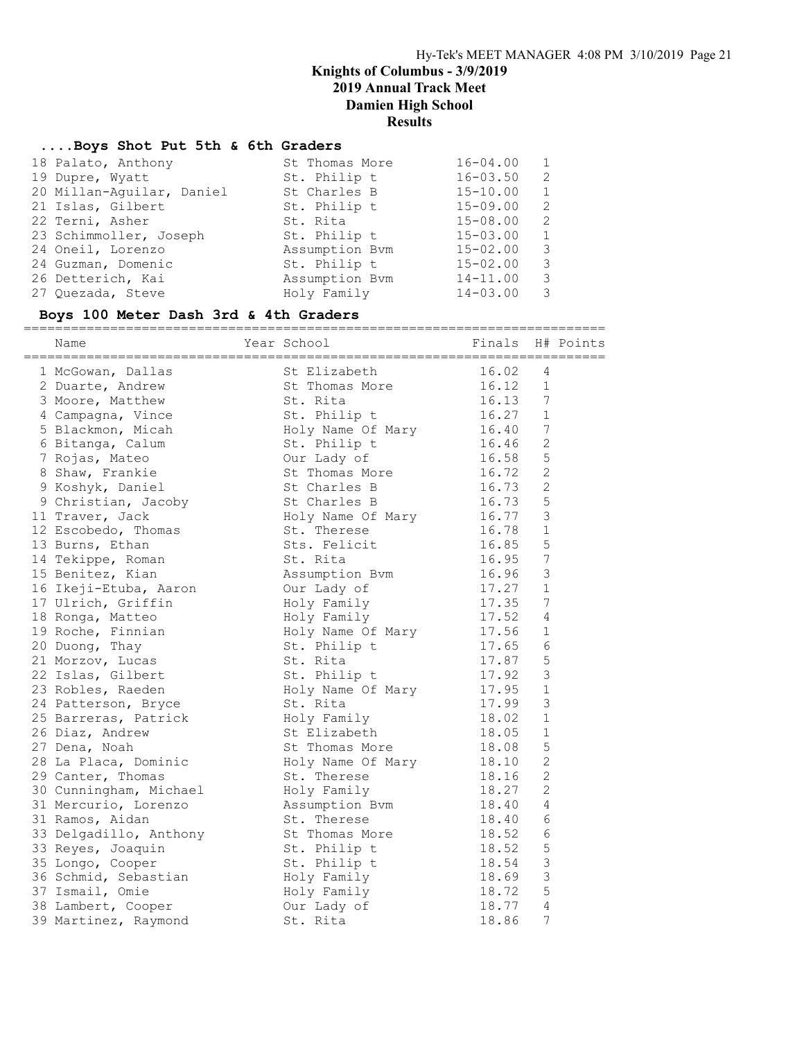#### ....Boys Shot Put 5th & 6th Graders

| 18 Palato, Anthony        | St Thomas More | $16 - 04.00$ |               |
|---------------------------|----------------|--------------|---------------|
| 19 Dupre, Wyatt           | St. Philip t   | $16 - 03.50$ | $\mathcal{L}$ |
| 20 Millan-Aquilar, Daniel | St Charles B   | $15 - 10.00$ | $\mathbf{1}$  |
| 21 Islas, Gilbert         | St. Philip t   | $15 - 09.00$ | $\mathcal{L}$ |
| 22 Terni, Asher           | St. Rita       | $15 - 08.00$ | $\mathcal{L}$ |
| 23 Schimmoller, Joseph    | St. Philip t   | $15 - 03.00$ | $\mathbf{1}$  |
| 24 Oneil, Lorenzo         | Assumption Bvm | $15 - 02.00$ | 3             |
| 24 Guzman, Domenic        | St. Philip t   | $15 - 02.00$ | 3             |
| 26 Detterich, Kai         | Assumption Bvm | $14 - 11.00$ | 3             |
| 27 Ouezada, Steve         | Holy Family    | $14 - 03.00$ | 3             |
|                           |                |              |               |

# Boys 100 Meter Dash 3rd & 4th Graders

========================================================================== Name Year School Finals H# Points ========================================================================== 1 McGowan, Dallas St Elizabeth 16.02 4 2 Duarte, Andrew St Thomas More 16.12 1 3 Moore, Matthew St. Rita 16.13 7 4 Campagna, Vince 5t. Philip t 16.27 1 5 Blackmon, Micah Holy Name Of Mary 16.40 7 6 Bitanga, Calum St. Philip t 16.46 2 7 Rojas, Mateo Our Lady of 16.58 5 8 Shaw, Frankie St Thomas More 16.72 2 9 Koshyk, Daniel St Charles B 16.73 2 9 Christian, Jacoby St Charles B 16.73 5 11 Traver, Jack and Holy Name Of Mary 16.77 3 12 Escobedo, Thomas St. Therese 16.78 1 13 Burns, Ethan Sts. Felicit 16.85 5 14 Tekippe, Roman St. Rita 16.95 7 15 Benitez, Kian Assumption Bvm 16.96 3 16 Ikeji-Etuba, Aaron Our Lady of 17.27 1 17 Ulrich, Griffin Holy Family 17.35 7 18 Ronga, Matteo Holy Family 17.52 4 19 Roche, Finnian and Holy Name Of Mary 17.56 1 20 Duong, Thay St. Philip t 17.65 6 21 Morzov, Lucas St. Rita 17.87 5 22 Islas, Gilbert St. Philip t 17.92 3 23 Robles, Raeden Holy Name Of Mary 17.95 1 24 Patterson, Bryce St. Rita 17.99 3 25 Barreras, Patrick Holy Family 18.02 1 26 Diaz, Andrew St Elizabeth 18.05 1 27 Dena, Noah St Thomas More 18.08 5 28 La Placa, Dominic Holy Name Of Mary 18.10 2 29 Canter, Thomas St. Therese 18.16 2 30 Cunningham, Michael Holy Family 18.27 2 31 Mercurio, Lorenzo Assumption Bvm 18.40 4 31 Ramos, Aidan St. Therese 18.40 6 33 Delgadillo, Anthony St Thomas More 18.52 6 33 Reyes, Joaquin St. Philip t 18.52 5 35 Longo, Cooper St. Philip t 18.54 3 36 Schmid, Sebastian Holy Family 18.69 3 37 Ismail, Omie Holy Family 18.72 5 38 Lambert, Cooper Our Lady of 18.77 4 39 Martinez, Raymond St. Rita 18.86 7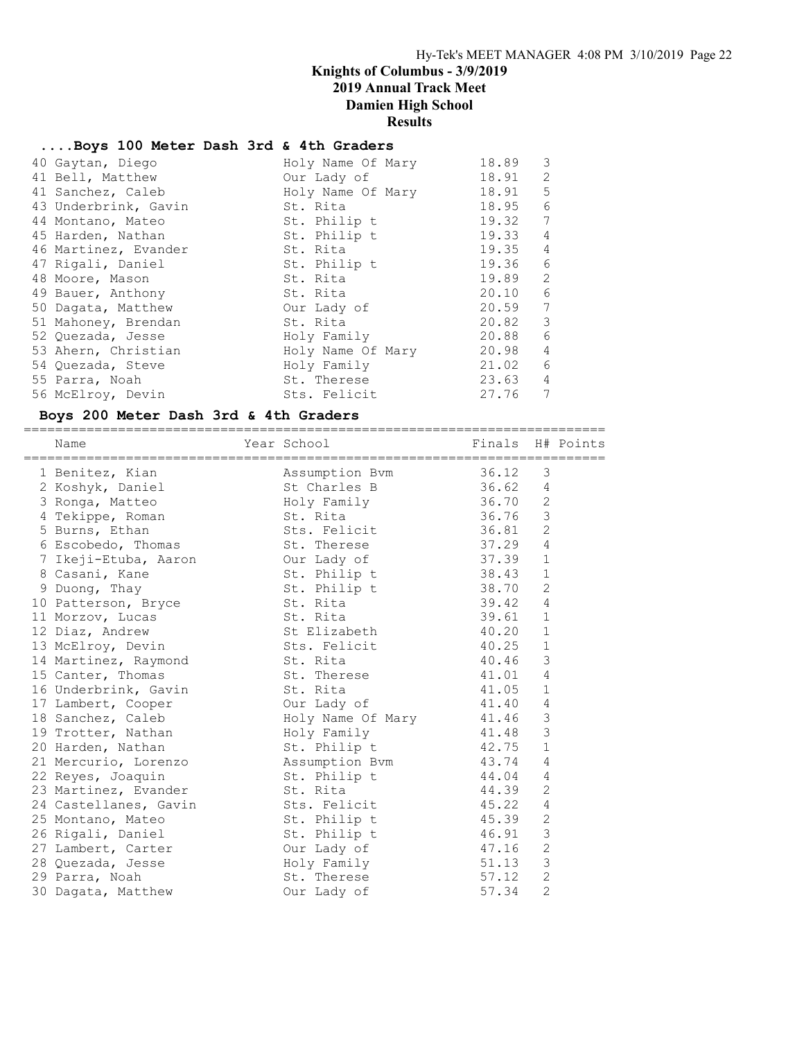#### ....Boys 100 Meter Dash 3rd & 4th Graders

| 40 Gaytan, Diego     | Holy Name Of Mary | 18.89 | 3              |
|----------------------|-------------------|-------|----------------|
| 41 Bell, Matthew     | Our Lady of       | 18.91 | 2              |
| 41 Sanchez, Caleb    | Holy Name Of Mary | 18.91 | 5              |
| 43 Underbrink, Gavin | St. Rita          | 18.95 | 6              |
| 44 Montano, Mateo    | St. Philip t      | 19.32 | 7              |
| 45 Harden, Nathan    | St. Philip t      | 19.33 | 4              |
| 46 Martinez, Evander | St. Rita          | 19.35 | $\overline{4}$ |
| 47 Rigali, Daniel    | St. Philip t      | 19.36 | 6              |
| 48 Moore, Mason      | St. Rita          | 19.89 | 2              |
| 49 Bauer, Anthony    | St. Rita          | 20.10 | 6              |
| 50 Dagata, Matthew   | Our Lady of       | 20.59 | 7              |
| 51 Mahoney, Brendan  | St. Rita          | 20.82 | 3              |
| 52 Quezada, Jesse    | Holy Family       | 20.88 | 6              |
| 53 Ahern, Christian  | Holy Name Of Mary | 20.98 | $\overline{4}$ |
| 54 Quezada, Steve    | Holy Family       | 21.02 | 6              |
| 55 Parra, Noah       | St. Therese       | 23.63 | $\overline{4}$ |
| 56 McElroy, Devin    | Sts. Felicit      | 27.76 | 7              |

#### Boys 200 Meter Dash 3rd & 4th Graders

========================================================================== Name Year School Finals H# Points ========================================================================== 1 Benitez, Kian Assumption Bvm 36.12 3 2 Koshyk, Daniel St Charles B 36.62 4 3 Ronga, Matteo Holy Family 36.70 2 4 Tekippe, Roman St. Rita 36.76 3 5 Burns, Ethan Sts. Felicit 36.81 2 6 Escobedo, Thomas St. Therese 37.29 4 7 Ikeji-Etuba, Aaron Our Lady of 37.39 1 8 Casani, Kane St. Philip t 38.43 1 9 Duong, Thay St. Philip t 38.70 2 10 Patterson, Bryce St. Rita 39.42 4 11 Morzov, Lucas St. Rita 39.61 1 12 Diaz, Andrew St Elizabeth 40.20 1 13 McElroy, Devin Sts. Felicit 40.25 1 14 Martinez, Raymond St. Rita 40.46 3 15 Canter, Thomas St. Therese 41.01 4 16 Underbrink, Gavin St. Rita 11.05 1 17 Lambert, Cooper Cour Lady of 41.40 4 18 Sanchez, Caleb Holy Name Of Mary 41.46 3 19 Trotter, Nathan Holy Family 41.48 3 20 Harden, Nathan St. Philip t 42.75 1 21 Mercurio, Lorenzo Assumption Bvm 43.74 4 22 Reyes, Joaquin St. Philip t 44.04 4 23 Martinez, Evander St. Rita 44.39 2 24 Castellanes, Gavin Sts. Felicit 45.22 4 25 Montano, Mateo St. Philip t 45.39 2 26 Rigali, Daniel St. Philip t 46.91 3 27 Lambert, Carter **Carter** Our Lady of  $47.16$  2 28 Quezada, Jesse Holy Family 51.13 3 29 Parra, Noah St. Therese 57.12 2 30 Dagata, Matthew Our Lady of 57.34 2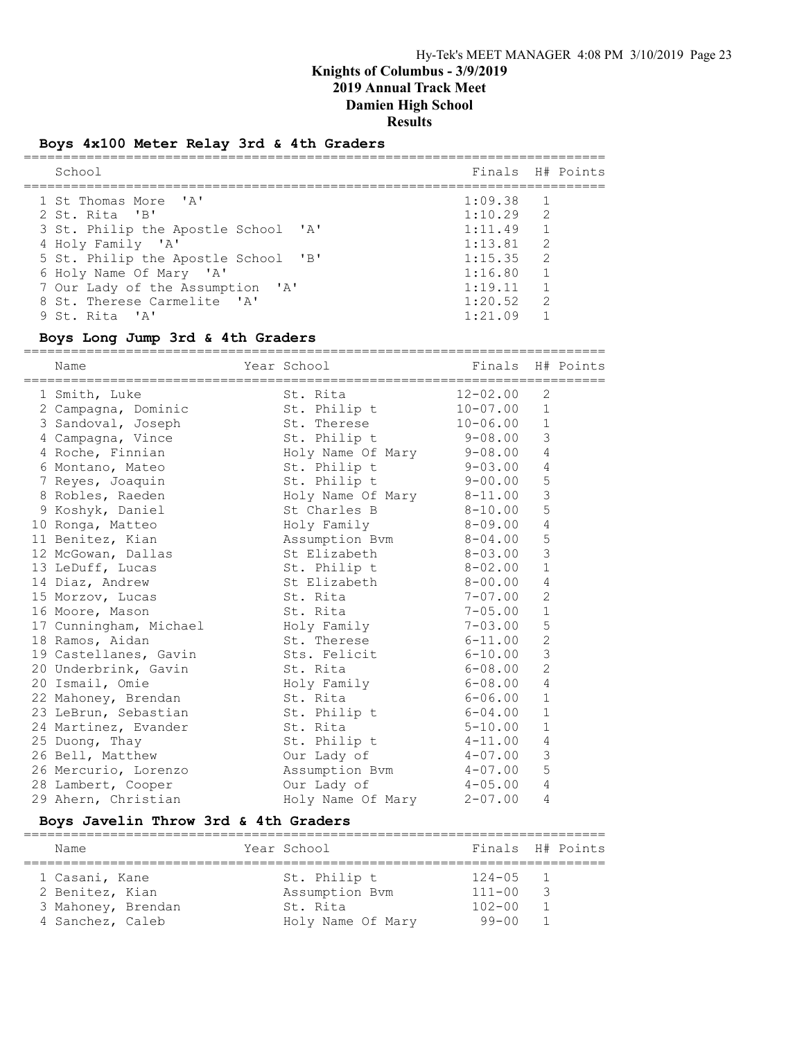### Boys 4x100 Meter Relay 3rd & 4th Graders

| School                              |             | Finals H# Points |
|-------------------------------------|-------------|------------------|
| 1 St Thomas More 'A'                | $1:09.38$ 1 |                  |
| 2 St. Rita 'B'                      | $1:10.29$ 2 |                  |
| 3 St. Philip the Apostle School 'A' | 1:11.49     |                  |
| 4 Holy Family 'A'                   | 1:13.81     | $\overline{2}$   |
| 5 St. Philip the Apostle School 'B' | $1:15.35$ 2 |                  |
| 6 Holy Name Of Mary 'A'             | 1:16.80     |                  |
| 7 Our Lady of the Assumption 'A'    | 1:19.11     |                  |
| 8 St. Therese Carmelite 'A'         | 1:20.52     | $\overline{2}$   |
| 9 St. Rita 'A'                      | 1:21.09     |                  |

#### Boys Long Jump 3rd & 4th Graders

==========================================================================

| Name                                       | Year School               | Finals       |                | H# Points |
|--------------------------------------------|---------------------------|--------------|----------------|-----------|
| 1 Smith, Luke                              | St. Rita                  | 12-02.00     | 2              |           |
| 2 Campagna, Dominic                        | St. Philip t              | $10 - 07.00$ | $\mathbf{1}$   |           |
| 3 Sandoval, Joseph                         | St. Therese               | $10 - 06.00$ | $\mathbf{1}$   |           |
| 4 Campagna, Vince                          | St. Philip t              | $9 - 08.00$  | 3              |           |
| 4 Roche, Finnian                           | Holy Name Of Mary 9-08.00 |              | $\overline{4}$ |           |
| 6 Montano, Mateo                           | St. Philip t              | $9 - 03.00$  | $\overline{4}$ |           |
| 7 Reyes, Joaquin                           | St. Philip t              | $9 - 00.00$  | 5              |           |
| 8 Robles, Raeden                           | Holy Name Of Mary         | $8 - 11.00$  | 3              |           |
| 9 Koshyk, Daniel                           | St Charles B 8-10.00      |              | 5              |           |
| 10 Ronga, Matteo                           | Holy Family               | $8 - 09.00$  | $\overline{4}$ |           |
| 11 Benitez, Kian                           | Assumption Bvm            | $8 - 04.00$  | 5              |           |
| 12 McGowan, Dallas                         | St Elizabeth 8-03.00      |              | 3              |           |
| 13 LeDuff, Lucas                           | St. Philip t              | $8-02.00$    | $\mathbf{1}$   |           |
| 14 Diaz, Andrew                            | St Elizabeth 8-00.00      |              | $\overline{4}$ |           |
| 15 Morzov, Lucas                           | St. Rita                  | $7 - 07.00$  | $\overline{c}$ |           |
| 16 Moore, Mason                            | St. Rita                  | $7 - 05.00$  | $1\,$          |           |
| 17 Cunningham, Michael Moly Family         |                           | 7-03.00      | 5              |           |
| 18 Ramos, Aidan                            | St. Therese               | $6 - 11.00$  | $\overline{c}$ |           |
| 19 Castellanes, Gavin Sts. Felicit 6-10.00 |                           |              | $\mathcal{S}$  |           |
| 20 Underbrink, Gavin                       | St. Rita                  | $6 - 08.00$  | $\overline{2}$ |           |
| 20 Ismail, Omie                            | Holy Family               | $6 - 08.00$  | $\overline{4}$ |           |
| 22 Mahoney, Brendan                        | St. Rita                  | $6 - 06.00$  | $\mathbf{1}$   |           |
| 23 LeBrun, Sebastian St. Philip t          |                           | $6 - 04.00$  | $\mathbf{1}$   |           |
| 24 Martinez, Evander                       | St. Rita                  | $5 - 10.00$  | $\mathbf{1}$   |           |
| 25 Duong, Thay                             | St. Philip t              | $4 - 11.00$  | $\overline{4}$ |           |
| 26 Bell, Matthew                           | Our Lady of               | $4 - 07.00$  | $\mathcal{S}$  |           |
| 26 Mercurio, Lorenzo                       | Assumption Bvm            | 4-07.00      | 5              |           |
| 28 Lambert, Cooper                         | Our Lady of               | $4 - 05.00$  | $\overline{4}$ |           |
| 29 Ahern, Christian                        | Holy Name Of Mary         | $2 - 07.00$  | 4              |           |

#### Boys Javelin Throw 3rd & 4th Graders

========================================================================== Name Year School Finals H# Points ========================================================================== 1 Casani, Kane St. Philip t 124-05 1 2 Benitez, Kian Assumption Bvm 111-00 3 3 Mahoney, Brendan St. Rita 102-00 1 4 Sanchez, Caleb Holy Name Of Mary 99-00 1